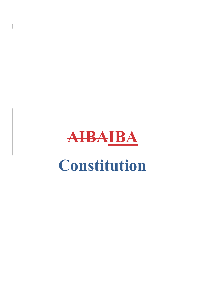

 $\overline{\phantom{a}}$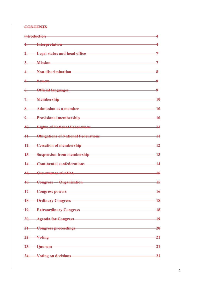### **CONTENTS**

| 1. Interpretation <b>Example 2018</b> Interpretation                                                                                                                                                                           | 4 |
|--------------------------------------------------------------------------------------------------------------------------------------------------------------------------------------------------------------------------------|---|
| 2. Legal status and head office 7                                                                                                                                                                                              |   |
| $3.$ Mission $7$                                                                                                                                                                                                               |   |
| 4. Non-discrimination 8                                                                                                                                                                                                        |   |
| $\overline{5}$ . Powers $\overline{9}$                                                                                                                                                                                         |   |
| 6. Official languages 9. The Contract of the Contract of the Contract of the Contract of the Contract of the Contract of the Contract of the Contract of the Contract of the Contract of the Contract of the Contract of the C |   |
| 7. Membership 10                                                                                                                                                                                                               |   |
| 8. Admission as a member 10 and 10 and 10 and 10 and 10 and 10 and 10 and 10 and 10 and 10 and 10 and 10 and 10                                                                                                                |   |
| 9. Provisional membership<br>10                                                                                                                                                                                                |   |
| 10. Rights of National Federations 11                                                                                                                                                                                          |   |
| 11. Obligations of National Federations 11                                                                                                                                                                                     |   |
| 12. Cessation of membership 12                                                                                                                                                                                                 |   |
| 13. Suspension from membership 13                                                                                                                                                                                              |   |
| 14. Continental confederations 14                                                                                                                                                                                              |   |
| 15. Governance of AIBA 15. 15                                                                                                                                                                                                  |   |
| 16. Congress Organization 15                                                                                                                                                                                                   |   |
| 17. Congress powers 16                                                                                                                                                                                                         |   |
| 18. Ordinary Congress 18                                                                                                                                                                                                       |   |
| 19. Extraordinary Congress 18                                                                                                                                                                                                  |   |
| 20. Agenda for Congress 19                                                                                                                                                                                                     |   |
| 21. Congress proceedings 20                                                                                                                                                                                                    |   |
| 22. Voting 21                                                                                                                                                                                                                  |   |
| 23. Quorum 21                                                                                                                                                                                                                  |   |
| 24. Voting on decisions 21                                                                                                                                                                                                     |   |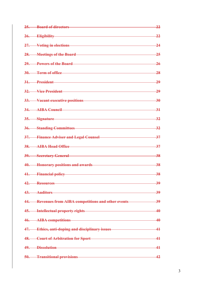| 25. Board of directors <b>Example 25. Board of directors</b>                                                                                                                                                                   | $-22$           |
|--------------------------------------------------------------------------------------------------------------------------------------------------------------------------------------------------------------------------------|-----------------|
| 26. Eligibility and a state of the state of the state of the state of the state of the state of the state of the state of the state of the state of the state of the state of the state of the state of the state of the state | $\overline{22}$ |
| 27. Voting in elections                                                                                                                                                                                                        | $\overline{24}$ |
| 28. Meetings of the Board 25                                                                                                                                                                                                   |                 |
| 29. Powers of the Board 26                                                                                                                                                                                                     |                 |
| 30. Term of office 28                                                                                                                                                                                                          |                 |
| 31. President 29                                                                                                                                                                                                               |                 |
| 32. Vice President 29                                                                                                                                                                                                          |                 |
| 33. Vacant executive positions 30                                                                                                                                                                                              |                 |
| 34. AIBA Council 34. 331                                                                                                                                                                                                       |                 |
| 35. Signature 32                                                                                                                                                                                                               |                 |
| 36. Standing Committees 32                                                                                                                                                                                                     |                 |
| 37. Finance Adviser and Legal Counsel 27. The manuscript of the State of the State of the State of the State o                                                                                                                 |                 |
| 38. AIBA Head Office 37                                                                                                                                                                                                        |                 |
| 39. Secretary General 38                                                                                                                                                                                                       |                 |
| 40. Honorary positions and awards 38                                                                                                                                                                                           |                 |
| 41. Financial policy 38                                                                                                                                                                                                        |                 |
| 42. Resources 39                                                                                                                                                                                                               |                 |
| 43. Auditors 39                                                                                                                                                                                                                |                 |
| 44. Revenues from AIBA competitions and other events 39                                                                                                                                                                        |                 |
| 45. Intellectual property rights 45. 100 and 40                                                                                                                                                                                |                 |
| 46. AIBA competitions 40                                                                                                                                                                                                       |                 |
| 47. Ethics, anti-doping and disciplinary issues 41                                                                                                                                                                             |                 |
| 48. Court of Arbitration for Sport 41                                                                                                                                                                                          |                 |
| 49. Dissolution 41                                                                                                                                                                                                             |                 |
| 50. Transitional provisions 42                                                                                                                                                                                                 |                 |

3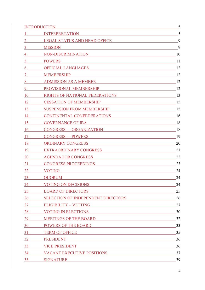|                                                                                                                                                                                                                                     | INTRODUCTION                                                                                                                                                                                                                   |    |
|-------------------------------------------------------------------------------------------------------------------------------------------------------------------------------------------------------------------------------------|--------------------------------------------------------------------------------------------------------------------------------------------------------------------------------------------------------------------------------|----|
| $1.$ $\blacksquare$                                                                                                                                                                                                                 | <u> 1980 - Jan Samuel Barbara, martin da shekara 1980 - An tsara 1980 - An tsara 1980 - An tsara 1980 - An tsara</u><br><b>INTERPRETATION</b>                                                                                  | 5  |
| 2.                                                                                                                                                                                                                                  | LEGAL STATUS AND HEAD OFFICE THE STATUS AND HEAD OFFICE                                                                                                                                                                        | 9  |
| 3.                                                                                                                                                                                                                                  | <b>MISSION</b>                                                                                                                                                                                                                 | 9  |
| 4.                                                                                                                                                                                                                                  | NON-DISCRIMINATION                                                                                                                                                                                                             | 10 |
| 5.                                                                                                                                                                                                                                  | <u> 1980 - Johann Stoff, fransk politik (d. 1980)</u><br><b>POWERS</b>                                                                                                                                                         | 11 |
| 6.                                                                                                                                                                                                                                  | OFFICIAL LANGUAGES 12                                                                                                                                                                                                          |    |
| 7.                                                                                                                                                                                                                                  |                                                                                                                                                                                                                                | 12 |
| 8.                                                                                                                                                                                                                                  | ADMISSION AS A MEMBER                                                                                                                                                                                                          | 12 |
| 9.                                                                                                                                                                                                                                  | PROVISIONAL MEMBERSHIP 12                                                                                                                                                                                                      |    |
| 10.                                                                                                                                                                                                                                 | $\overline{\phantom{a}13}$<br>RIGHTS OF NATIONAL FEDERATIONS                                                                                                                                                                   |    |
| 12.                                                                                                                                                                                                                                 | CESSATION OF MEMBERSHIP CESSATION OF MEMBERSHIP                                                                                                                                                                                | 15 |
| 13.                                                                                                                                                                                                                                 | SUSPENSION FROM MEMBERSHIP                                                                                                                                                                                                     | 15 |
| 14.                                                                                                                                                                                                                                 | CONTINENTAL CONFEDERATIONS 16                                                                                                                                                                                                  |    |
| 15.                                                                                                                                                                                                                                 | GOVERNANCE OF IBA <b>SECURE 2018</b>                                                                                                                                                                                           | 18 |
| 16.                                                                                                                                                                                                                                 | CONGRESS — ORGANIZATION                                                                                                                                                                                                        | 18 |
|                                                                                                                                                                                                                                     | 17. CONGRESS — POWERS                                                                                                                                                                                                          | 19 |
| 18.                                                                                                                                                                                                                                 | ORDINARY CONGRESS AND A CONSERVERS AND A CONGRESS AND A CONGRESS AND A CONGRESS AND A CONGRESS AND A CONGRESS AND A CONGRESS AND A CONGRESS AND A CONGRESS AND A CONGRESS AND A CONGRESS AND A CONGRESS AND A CONGRESS AND A C | 20 |
| 19.                                                                                                                                                                                                                                 | EXTRAORDINARY CONGRESS                                                                                                                                                                                                         | 21 |
| <b>20.</b> The same state of $\sim$                                                                                                                                                                                                 | <b>AGENDA FOR CONGRESS</b><br><u> 1980 - Johann Barn, mars eta bainar eta baina eta baina eta baina eta baina eta baina eta baina eta baina e</u>                                                                              | 22 |
| 21.                                                                                                                                                                                                                                 | <b>CONGRESS PROCEEDINGS</b>                                                                                                                                                                                                    | 23 |
| 22.                                                                                                                                                                                                                                 | <b>VOTING</b>                                                                                                                                                                                                                  | 24 |
| 23.                                                                                                                                                                                                                                 | QUORUM                                                                                                                                                                                                                         | 24 |
| 24.                                                                                                                                                                                                                                 | <b>VOTING ON DECISIONS</b><br><u> 1980 - Johann Stoff, deutscher Stoff, der Stoff, der Stoff, der Stoff, der Stoff, der Stoff, der Stoff, der S</u>                                                                            | 24 |
| 25.                                                                                                                                                                                                                                 | <b>BOARD OF DIRECTORS</b><br><u> 1989 - Johann Barn, mars ann an t-Amhainn an t-Amhainn an t-Amhainn an t-Amhainn an t-Amhainn an t-Amhainn a</u>                                                                              | 25 |
| <b>26.</b> The same of $\sim$                                                                                                                                                                                                       | SELECTION OF INDEPENDENT DIRECTORS                                                                                                                                                                                             | 26 |
|                                                                                                                                                                                                                                     | <u>27. ELIGIBILITY – VETTING</u>                                                                                                                                                                                               | 27 |
| 28.                                                                                                                                                                                                                                 | <b>VOTING IN ELECTIONS</b>                                                                                                                                                                                                     | 30 |
|                                                                                                                                                                                                                                     | 29. MEETINGS OF THE BOARD 32                                                                                                                                                                                                   |    |
|                                                                                                                                                                                                                                     | 30. POWERS OF THE BOARD<br><u> 1980 - Jan James James Barnett, fransk politik (d. 1980)</u>                                                                                                                                    | 33 |
| 31.                                                                                                                                                                                                                                 | TERM OF OFFICE TERM OF OUR SERVICE AND THE SERVICE OF THE SERVICE OF THE SERVICE OF THE SERVICE OF THE SERVICE OF THE SERVICE OF THE SERVICE OF THE SERVICE OF THE SERVICE OF THE SERVICE OF THE SERVICE OF THE SERVICE OF THE | 35 |
| <b>32.</b> Samuel 2014                                                                                                                                                                                                              | PRESIDENT PRESIDENT                                                                                                                                                                                                            | 36 |
|                                                                                                                                                                                                                                     | 33. VICE PRESIDENT                                                                                                                                                                                                             | 36 |
| <b>34.</b> Samuel Street, and the same of the same of the same of the same of the same of the same of the same of the same of the same of the same of the same of the same of the same of the same of the same of the same of the s | VACANT EXECU <u>TIVE POSITIONS</u>                                                                                                                                                                                             | 37 |
| <b>35.</b>                                                                                                                                                                                                                          | SIGNATURE Expansion of the state of the state of the state of the state of the state of the state of the state of the state of the state of the state of the state of the state of the state of the state of the state of the  | 39 |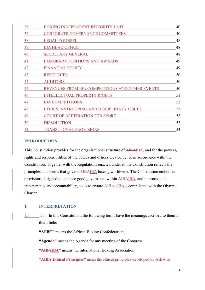| 36.        | <b>BOXING INDEPENDENT INTEGRITY UNIT</b>        | 40 |
|------------|-------------------------------------------------|----|
| 37.        | CORPORATE GOVERNANCE COMMITTEES                 | 40 |
| 38.        | <b>LEGAL COUNSEL</b>                            | 48 |
| <u>39.</u> | <b>IBA HEAD OFFICE</b>                          | 48 |
| 40.        | <b>SECRETARY GENERAL</b>                        | 48 |
| 41.        | HONORARY POSITIONS AND AWARDS                   | 49 |
| 42.        | <b>FINANCIAL POLICY</b>                         | 49 |
| 43.        | <b>RESOURCES</b>                                | 50 |
| 44.        | <b>AUDITORS</b>                                 | 50 |
| 45.        | REVENUES FROM IBA COMPETITIONS AND OTHER EVENTS | 50 |
| 46.        | <b>INTELLECTUAL PROPERTY RIGHTS</b>             | 51 |
| 47.        | <b>IBA COMPETITIONS</b>                         | 52 |
| 48.        | ETHICS, ANTI-DOPING AND DISCIPLINARY ISSUES     | 52 |
| 49.        | <b>COURT OF ARBITRATION FOR SPORT</b>           | 52 |
| 50.        | <b>DISSOLUTION</b>                              | 53 |
| 51.        | <b>TRANSITIONAL PROVISIONS</b>                  | 53 |

# **INTRODUCTION**

This Constitution provides for the organisational structure of AIBAIBA, and for the powers, rights and responsibilities of the bodies and offices created by, or in accordance with, the Constitution. Together with the Regulations enacted under it, the Constitution reflects the principles and norms that govern AIBAIBA boxing worldwide. The Constitution embodies provisions designed to enhance good governance within AIBAIBA, and to promote its transparency and accountability, so as to ensure **AIBA**'s<sup>IBA</sup>'s compliance with the Olympic Charter.

# 1. INTERPRETATION

 $1.1$  I.1 In this Constitution, the following terms have the meanings ascribed to them in this article:

"AFBC" means the African Boxing Confederation;

"Agenda" means the Agenda for any meeting of the Congress;

"**AIBAIBA**" means the International Boxing Association;

"AIBA Ethical Principles" mean the ethical principles developed by AIBA in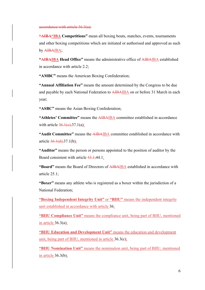accordance with article 36.3(a);

"**AIBA"IBA Competitions**" mean all boxing bouts, matches, events, tournaments and other boxing competitions which are initiated or authorised and approved as such by AIBAIBA;

"**AIBAIBA Head Office**" means the administrative office of AIBAIBA established in accordance with article 2.2;

"AMBC" means the American Boxing Confederation;

"Annual Affiliation Fee" means the amount determined by the Congress to be due and payable by each National Federation to AIBAIBA on or before 31 March in each year;

"ASBC" means the Asian Boxing Confederation;

"Athletes' Committee" means the AIBAIBA committee established in accordance with article  $36.1(e);37.1(a);$ 

"Audit Committee" means the AIBAIBA committee established in accordance with article  $36.1(d);37.1(b);$ 

"Auditor" means the person or persons appointed to the position of auditor by the Board consistent with article 43.1;44.1;

"Board" means the Board of Directors of AIBAIBA established in accordance with article 25.1;

"Boxer" means any athlete who is registered as a boxer within the jurisdiction of a National Federation;

"Boxing Independent Integrity Unit" or "BIIU" means the independent integrity unit established in accordance with article 36;

"BIIU Compliance Unit" means the compliance unit, being part of BIIU, mentioned in article  $36.3(a)$ ;

"BIIU Education and Development Unit" means the education and development unit, being part of BIIU, mentioned in article 36.3(c);

"BIIU Nomination Unit" means the nomination unit, being part of BIIU, mentioned in article  $36.3(b)$ ;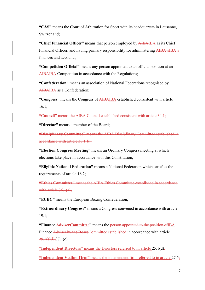"CAS" means the Court of Arbitration for Sport with its headquarters in Lausanne, Switzerland;

"Chief Financial Officer" means that person employed by AIBAIBA as its Chief Financial Officer, and having primary responsibility for administering AIBA'sIBA's finances and accounts;

"Competition Official" means any person appointed to an official position at an AIBAIBA Competition in accordance with the Regulations;

"Confederation" means an association of National Federations recognised by AIBAIBA as a Confederation;

"Congress" means the Congress of AIBAIBA established consistent with article 16.1;

"Council" means the AIBA Council established consistent with article 34.1;

"Director" means a member of the Board;

"Disciplinary Committee" means the AIBA Disciplinary Committee established in accordance with article 36.1(b);

"Election Congress Meeting" means an Ordinary Congress meeting at which elections take place in accordance with this Constitution;

"Eligible National Federation" means a National Federation which satisfies the requirements of article 16.2;

"Ethics Committee" means the AIBA Ethics Committee established in accordance with article 36.1(a);

"EUBC" means the European Boxing Confederation;

"Extraordinary Congress" means a Congress convened in accordance with article 19.1;

"Finance AdviserCommittee" means the person appointed to the position of IBA Finance Adviser by the BoardCommittee established in accordance with article  $29.1(s)(i);37.1(c);$ 

"Independent Directors" means the Directors referred to in article 25.1(d); "Independent Vetting Firm" means the independent firm referred to in article 27.5;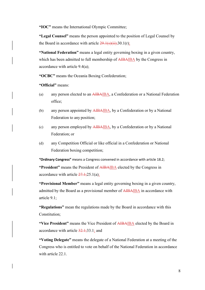"IOC" means the International Olympic Committee;

"Legal Counsel" means the person appointed to the position of Legal Counsel by the Board in accordance with article  $29.1(s)(ii);30.1(r);$ 

"National Federation" means a legal entity governing boxing in a given country, which has been admitted to full membership of AIBAIBA by the Congress in accordance with article 9.4(a);

"OCBC" means the Oceania Boxing Confederation;

"Official" means:

- (a) any person elected to an AIBAIBA, a Confederation or a National Federation office;
- (b) any person appointed by  $\overline{AIBAIBA}$ , by a Confederation or by a National Federation to any position;
- (c) any person employed by AIBAIBA, by a Confederation or by a National Federation; or
- (d) any Competition Official or like official in a Confederation or National Federation boxing competition;

"Ordinary Congress" means a Congress convened in accordance with article 18.2;

"President" means the President of AIBAIBA elected by the Congress in accordance with article  $27.1;25.1(a)$ ;

"Provisional Member" means a legal entity governing boxing in a given country, admitted by the Board as a provisional member of AIBAIBA in accordance with article 9.1;

"Regulations" mean the regulations made by the Board in accordance with this Constitution;

"Vice President" means the Vice President of AIBAIBA elected by the Board in accordance with article  $32.1$ ; 33.1; and

"Voting Delegate" means the delegate of a National Federation at a meeting of the Congress who is entitled to vote on behalf of the National Federation in accordance with article 22.1.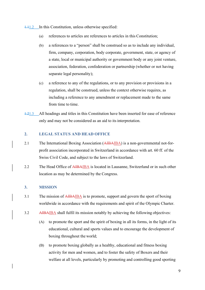1.11.2 In this Constitution, unless otherwise specified:

- (a) references to articles are references to articles in this Constitution;
- (b) a references to a "person" shall be construed so as to include any individual, firm, company, corporation, body corporate, government, state, or agency of a state, local or municipal authority or government body or any joint venture, association, federation, confederation or partnership (whether or not having separate legal personality);
- (c) a reference to any of the regulations, or to any provision or provisions in a regulation, shall be construed, unless the context otherwise requires, as including a reference to any amendment or replacement made to the same from time to time.
- 1.21.3 All headings and titles in this Constitution have been inserted for ease of reference only and may not be considered as an aid to its interpretation.

### 2. LEGAL STATUS AND HEAD OFFICE

- 2.1 The International Boxing Association (AIBAIBA) is a non-governmental not-forprofit association incorporated in Switzerland in accordance with art. 60 ff. of the Swiss Civil Code, and subject to the laws of Switzerland.
- 2.2 The Head Office of AIBAIBA is located in Lausanne, Switzerland or in such other location as may be determined by the Congress.

#### 3. MISSION

- 3.1 The mission of AIBAIBA is to promote, support and govern the sport of boxing worldwide in accordance with the requirements and spirit of the Olympic Charter.
- 3.2 AIBAIBA shall fulfil its mission notably by achieving the following objectives:
	- (A) to promote the sport and the spirit of boxing in all its forms, in the light of its educational, cultural and sports values and to encourage the development of boxing throughout the world;
	- (B) to promote boxing globally as a healthy, educational and fitness boxing activity for men and women, and to foster the safety of Boxers and their welfare at all levels, particularly by promoting and controlling good sporting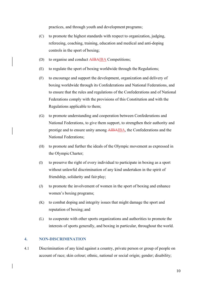practices, and through youth and development programs;

- (C) to promote the highest standards with respect to organization, judging, refereeing, coaching, training, education and medical and anti-doping controls in the sport of boxing;
- (D) to organise and conduct AIBAIBA Competitions;
- (E) to regulate the sport of boxing worldwide through the Regulations;
- (F) to encourage and support the development, organization and delivery of boxing worldwide through its Confederations and National Federations, and to ensure that the rules and regulations of the Confederations and of National Federations comply with the provisions of this Constitution and with the Regulations applicable to them;
- (G) to promote understanding and cooperation between Confederations and National Federations, to give them support, to strengthen their authority and prestige and to ensure unity among AIBAIBA, the Confederations and the National Federations;
- (H) to promote and further the ideals of the Olympic movement as expressed in the Olympic Charter;
- (I) to preserve the right of every individual to participate in boxing as a sport without unlawful discrimination of any kind undertaken in the spirit of friendship, solidarity and fair play;
- (J) to promote the involvement of women in the sport of boxing and enhance women's boxing programs;
- (K) to combat doping and integrity issues that might damage the sport and reputation of boxing; and
- (L) to cooperate with other sports organizations and authorities to promote the interests of sports generally, and boxing in particular, throughout the world.

#### 4. NON-DISCRIMINATION

4.1 Discrimination of any kind against a country, private person or group of people on account of race; skin colour; ethnic, national or social origin; gender; disability;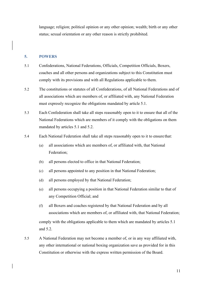language; religion; political opinion or any other opinion; wealth; birth or any other status; sexual orientation or any other reason is strictly prohibited.

#### 5. POWERS

- 5.1 Confederations, National Federations, Officials, Competition Officials, Boxers, coaches and all other persons and organizations subject to this Constitution must comply with its provisions and with all Regulations applicable to them.
- 5.2 The constitutions or statutes of all Confederations, of all National Federations and of all associations which are members of, or affiliated with, any National Federation must expressly recognize the obligations mandated by article 5.1.
- 5.3 Each Confederation shall take all steps reasonably open to it to ensure that all of the National Federations which are members of it comply with the obligations on them mandated by articles 5.1 and 5.2.
- 5.4 Each National Federation shall take all steps reasonably open to it to ensure that:
	- (a) all associations which are members of, or affiliated with, that National Federation;
	- (b) all persons elected to office in that National Federation;
	- (c) all persons appointed to any position in that National Federation;
	- (d) all persons employed by that National Federation;
	- (e) all persons occupying a position in that National Federation similar to that of any Competition Official; and
	- (f) all Boxers and coaches registered by that National Federation and by all associations which are members of, or affiliated with, that National Federation; comply with the obligations applicable to them which are mandated by articles 5.1 and 5.2.
- 5.5 A National Federation may not become a member of, or in any way affiliated with, any other international or national boxing organization save as provided for in this Constitution or otherwise with the express written permission of the Board.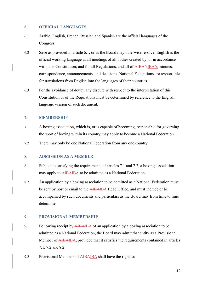## 6. OFFICIAL LANGUAGES

- 6.1 Arabic, English, French, Russian and Spanish are the official languages of the Congress.
- 6.2 Save as provided in article 6.1, or as the Board may otherwise resolve, English is the official working language at all meetings of all bodies created by, or in accordance with, this Constitution; and for all Regulations, and all of AIBA's IBA's minutes, correspondence, announcements, and decisions. National Federations are responsible for translations from English into the languages of their countries.
- 6.3 For the avoidance of doubt, any dispute with respect to the interpretation of this Constitution or of the Regulations must be determined by reference to the English language version of such document.

## 7. MEMBERSHIP

- 7.1 A boxing association, which is, or is capable of becoming, responsible for governing the sport of boxing within its country may apply to become a National Federation.
- 7.2 There may only be one National Federation from any one country.

### 8. ADMISSION AS A MEMBER

- 8.1 Subject to satisfying the requirements of articles 7.1 and 7.2, a boxing association may apply to **AIBAIBA** to be admitted as a National Federation.
- 8.2 An application by a boxing association to be admitted as a National Federation must be sent by post or email to the AIBAIBA Head Office, and must include or be accompanied by such documents and particulars as the Board may from time to time determine.

# 9. PROVISIONAL MEMBERSHIP

- 9.1 Following receipt by AIBAIBA of an application by a boxing association to be admitted as a National Federation, the Board may admit that entity as a Provisional Member of AIBAIBA, provided that it satisfies the requirements contained in articles 7.1, 7.2 and 8.2.
- 9.2 Provisional Members of AIBAIBA shall have the right to: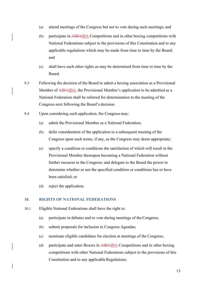- (a) attend meetings of the Congress but not to vote during such meetings; and
- (b) participate in AIBAIBA Competitions and in other boxing competitions with National Federations subject to the provisions of this Constitution and to any applicable regulations which may be made from time to time by the Board; and
- (c) shall have such other rights as may be determined from time to time by the Board.
- 9.3 Following the decision of the Board to admit a boxing association as a Provisional Member of AIBAIBA, the Provisional Member's application to be admitted as a National Federation shall be referred for determination to the meeting of the Congress next following the Board's decision.
- 9.4 Upon considering such application, the Congress may:
	- (a) admit the Provisional Member as a National Federation;
	- (b) defer consideration of the application to a subsequent meeting of the Congress upon such terms, if any, as the Congress may deem appropriate;
	- (c) specify a condition or conditions the satisfaction of which will result in the Provisional Member thereupon becoming a National Federation without further recourse to the Congress; and delegate to the Board the power to determine whether or not the specified condition or conditions has or have been satisfied; or
	- (d) reject the application.

#### 10. RIGHTS OF NATIONAL FEDERATIONS

- 10.1 Eligible National Federations shall have the right to:
	- (a) participate in debates and to vote during meetings of the Congress;
	- (b) submit proposals for inclusion in Congress Agendas;
	- (c) nominate eligible candidates for election at meetings of the Congress;
	- (d) participate and enter Boxers in AIBAIBA Competitions and in other boxing competitions with other National Federations subject to the provisions of this Constitution and to any applicable Regulations;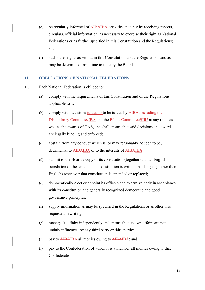- (e) be regularly informed of AIBAIBA activities, notably by receiving reports, circulars, official information, as necessary to exercise their right as National Federations or as further specified in this Constitution and the Regulations; and
- (f) such other rights as set out in this Constitution and the Regulations and as may be determined from time to time by the Board.

## 11. OBLIGATIONS OF NATIONAL FEDERATIONS

- 11.1 Each National Federation is obliged to:
	- (a) comply with the requirements of this Constitution and of the Regulations applicable to it;
	- (b) comply with decisions issued or to be issued by AIBA, including the Disciplinary CommitteeIBA and the Ethics CommitteeBIIU at any time, as well as the awards of CAS, and shall ensure that said decisions and awards are legally binding and enforced;
	- (c) abstain from any conduct which is, or may reasonably be seen to be, detrimental to AIBAIBA or to the interests of AIBAIBA;
	- (d) submit to the Board a copy of its constitution (together with an English translation of the same if such constitution is written in a language other than English) whenever that constitution is amended or replaced;
	- (e) democratically elect or appoint its officers and executive body in accordance with its constitution and generally recognized democratic and good governance principles;
	- (f) supply information as may be specified in the Regulations or as otherwise requested in writing;
	- (g) manage its affairs independently and ensure that its own affairs are not unduly influenced by any third party or third parties;
	- (h) pay to AIBAIBA all monies owing to AIBAIBA; and
	- (i) pay to the Confederation of which it is a member all monies owing to that Confederation.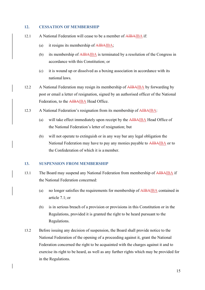#### 12. CESSATION OF MEMBERSHIP

- 12.1 A National Federation will cease to be a member of AIBAIBA if:
	- (a) it resigns its membership of AIBAIBA;
	- (b) its membership of AIBAIBA is terminated by a resolution of the Congress in accordance with this Constitution; or
	- (c) it is wound up or dissolved as a boxing association in accordance with its national laws.
- 12.2 A National Federation may resign its membership of AIBAIBA by forwarding by post or email a letter of resignation, signed by an authorised officer of the National Federation, to the AIBAIBA Head Office.
- 12.3 A National Federation's resignation from its membership of AIBAIBA:
	- (a) will take effect immediately upon receipt by the AIBAIBA Head Office of the National Federation's letter of resignation; but
	- (b) will not operate to extinguish or in any way bar any legal obligation the National Federation may have to pay any monies payable to AIBAIBA or to the Confederation of which it is a member.

#### 13. SUSPENSION FROM MEMBERSHIP

- 13.1 The Board may suspend any National Federation from membership of AIBAIBA if the National Federation concerned:
	- (a) no longer satisfies the requirements for membership of AIBAIBA contained in article 7.1; or
	- (b) is in serious breach of a provision or provisions in this Constitution or in the Regulations, provided it is granted the right to be heard pursuant to the Regulations.
- 13.2 Before issuing any decision of suspension, the Board shall provide notice to the National Federation of the opening of a proceeding against it, grant the National Federation concerned the right to be acquainted with the charges against it and to exercise its right to be heard, as well as any further rights which may be provided for in the Regulations.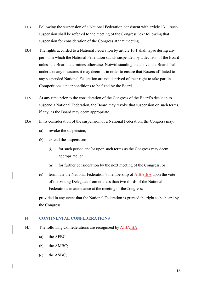- 13.3 Following the suspension of a National Federation consistent with article 13.1, such suspension shall be referred to the meeting of the Congress next following that suspension for consideration of the Congress at that meeting.
- 13.4 The rights accorded to a National Federation by article 10.1 shall lapse during any period in which the National Federation stands suspended by a decision of the Board unless the Board determines otherwise. Notwithstanding the above, the Board shall undertake any measures it may deem fit in order to ensure that Boxers affiliated to any suspended National Federation are not deprived of their right to take part in Competitions, under conditions to be fixed by the Board.
- 13.5 At any time prior to the consideration of the Congress of the Board's decision to suspend a National Federation, the Board may revoke that suspension on such terms, if any, as the Board may deem appropriate.
- 13.6 In its consideration of the suspension of a National Federation, the Congress may:
	- (a) revoke the suspension;
	- (b) extend the suspension:
		- (i) for such period and/or upon such terms as the Congress may deem appropriate; or
		- (ii) for further consideration by the next meeting of the Congress; or
	- (c) terminate the National Federation's membership of AIBAIBA upon the vote of the Voting Delegates from not less than two thirds of the National Federations in attendance at the meeting of the Congress;

provided in any event that the National Federation is granted the right to be heard by the Congress.

## 14. CONTINENTAL CONFEDERATIONS

- 14.1 The following Confederations are recognized by AIBAIBA:
	- (a) the AFBC;
	- (b) the AMBC;
	- (c) the ASBC;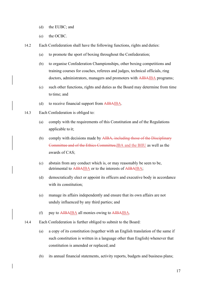- (d) the EUBC; and
- (e) the OCBC.
- 14.2 Each Confederation shall have the following functions, rights and duties:
	- (a) to promote the sport of boxing throughout the Confederation;
	- (b) to organise Confederation Championships, other boxing competitions and training courses for coaches, referees and judges, technical officials, ring doctors, administrators, managers and promoters with **AIBAIBA** programs;
	- (c) such other functions, rights and duties as the Board may determine from time to time; and
	- (d) to receive financial support from AIBAIBA.
- 14.3 Each Confederation is obliged to:
	- (a) comply with the requirements of this Constitution and of the Regulations applicable to it;
	- (b) comply with decisions made by  $\overrightarrow{AIBA}$ , including those of the Disciplinary Committee and of the Ethics Committee,IBA and the BIIU as well as the awards of CAS;
	- (c) abstain from any conduct which is, or may reasonably be seen to be, detrimental to AIBAIBA or to the interests of AIBAIBA;
	- (d) democratically elect or appoint its officers and executive body in accordance with its constitution;
	- (e) manage its affairs independently and ensure that its own affairs are not unduly influenced by any third parties; and
	- (f) pay to AIBAIBA all monies owing to AIBAIBA.
- 14.4 Each Confederation is further obliged to submit to the Board:
	- (a) a copy of its constitution (together with an English translation of the same if such constitution is written in a language other than English) whenever that constitution is amended or replaced; and
	- (b) its annual financial statements, activity reports, budgets and business plans;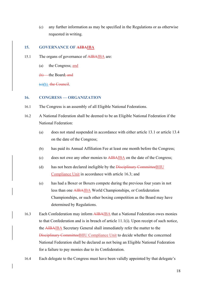(c) any further information as may be specified in the Regulations or as otherwise requested in writing.

### 15. GOVERNANCE OF AIBAIBA

- 15.1 The organs of governance of AIBAIBA are:
	- (a) the Congress; and
	- $(b)$  the Board; and

 $(e)(b)$  the Council.

# 16. CONGRESS — ORGANIZATION

- 16.1 The Congress is an assembly of all Eligible National Federations.
- 16.2 A National Federation shall be deemed to be an Eligible National Federation if the National Federation:
	- (a) does not stand suspended in accordance with either article 13.1 or article 13.4 on the date of the Congress;
	- (b) has paid its Annual Affiliation Fee at least one month before the Congress;
	- (c) does not owe any other monies to AIBAIBA on the date of the Congress;
	- (d) has not been declared ineligible by the Disciplinary CommitteeBIIU Compliance Unit in accordance with article 16.3; and
	- (e) has had a Boxer or Boxers compete during the previous four years in not less than one AIBAIBA World Championships, or Confederation Championships, or such other boxing competition as the Board may have determined by Regulations.
- 16.3 Each Confederation may inform AIBAIBA that a National Federation owes monies to that Confederation and is in breach of article 11.1(i). Upon receipt of such notice, the AIBAIBA Secretary General shall immediately refer the matter to the Disciplinary CommitteeBIIU Compliance Unit to decide whether the concerned National Federation shall be declared as not being an Eligible National Federation for a failure to pay monies due to its Confederation.
- 16.4 Each delegate to the Congress must have been validly appointed by that delegate's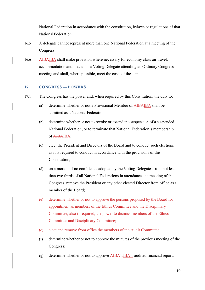National Federation in accordance with the constitution, bylaws or regulations of that National Federation.

- 16.5 A delegate cannot represent more than one National Federation at a meeting of the Congress.
- 16.6 AIBAIBA shall make provision where necessary for economy class air travel, accommodation and meals for a Voting Delegate attending an Ordinary Congress meeting and shall, where possible, meet the costs of the same.

### 17. CONGRESS — POWERS

- 17.1 The Congress has the power and, when required by this Constitution, the duty to:
	- (a) determine whether or not a Provisional Member of AIBAIBA shall be admitted as a National Federation;
	- (b) determine whether or not to revoke or extend the suspension of a suspended National Federation, or to terminate that National Federation's membership of AIBAIBA;
	- (c) elect the President and Directors of the Board and to conduct such elections as it is required to conduct in accordance with the provisions of this Constitution;
	- (d) on a motion of no confidence adopted by the Voting Delegates from not less than two thirds of all National Federations in attendance at a meeting of the Congress, remove the President or any other elected Director from office as a member of the Board;
	- (e) determine whether or not to approve the persons proposed by the Board for appointment as members of the Ethics Committee and the Disciplinary Committee; also if required, the power to dismiss members of the Ethics Committee and Disciplinary Committee;
	- (e) elect and remove from office the members of the Audit Committee;
	- (f) determine whether or not to approve the minutes of the previous meeting of the Congress;
	- (g) determine whether or not to approve AIBA'sIBA's audited financial report;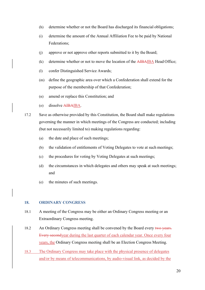- (h) determine whether or not the Board has discharged its financial obligations;
- (i) determine the amount of the Annual Affiliation Fee to be paid by National Federations;
- (j) approve or not approve other reports submitted to it by the Board;
- (k) determine whether or not to move the location of the AIBAIBA Head Office;
- (l) confer Distinguished Service Awards;
- (m) define the geographic area over which a Confederation shall extend for the purpose of the membership of that Confederation;
- (n) amend or replace this Constitution; and
- (o) dissolve AIBAIBA.

17.2 Save as otherwise provided by this Constitution, the Board shall make regulations governing the manner in which meetings of the Congress are conducted; including (but not necessarily limited to) making regulations regarding:

- (a) the date and place of such meetings;
- (b) the validation of entitlements of Voting Delegates to vote at such meetings;
- (c) the procedures for voting by Voting Delegates at such meetings;
- (d) the circumstances in which delegates and others may speak at such meetings; and
- (e) the minutes of such meetings.

## 18. ORDINARY CONGRESS

- 18.1 A meeting of the Congress may be either an Ordinary Congress meeting or an Extraordinary Congress meeting.
- 18.2 An Ordinary Congress meeting shall be convened by the Board every two vears. Every secondyear during the last quarter of each calendar year. Once every four years, the Ordinary Congress meeting shall be an Election Congress Meeting.
- 18.3 The Ordinary Congress may take place with the physical presence of delegates and/or by means of telecommunications, by audio-visual link, as decided by the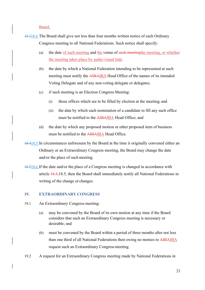Board.

- 18.318.4 The Board shall give not less than four months written notice of each Ordinary Congress meeting to all National Federations. Such notice shall specify:
	- (a) the date of such meeting and the venue of such meetingthe meeting, or whether the meeting takes place by audio-visual link;
	- (b) the date by which a National Federation intending to be represented at such meeting must notify the AIBAIBA Head Office of the names of its intended Voting Delegate and of any non-voting delegate or delegates;
	- (c) if such meeting is an Election Congress Meeting:
		- (i) those offices which are to be filled by election at the meeting; and
		- (ii) the date by which each nomination of a candidate to fill any such office must be notified to the AIBAIBA Head Office; and
	- (d) the date by which any proposed motion or other proposed item of business must be notified to the AIBAIBA Head Office.
- 18.418.5 In circumstances unforeseen by the Board at the time it originally convened either an Ordinary or an Extraordinary Congress meeting, the Board may change the date and/or the place of such meeting.
- 18.518.6 If the date and/or the place of a Congress meeting is changed in accordance with article 18.4,18.5, then the Board shall immediately notify all National Federations in writing of the change or changes.

### 19. EXTRAORDINARY CONGRESS

- 19.1 An Extraordinary Congress meeting:
	- (a) may be convened by the Board of its own motion at any time if the Board considers that such an Extraordinary Congress meeting is necessary or desirable; and
	- (b) must be convened by the Board within a period of three months after not less than one third of all National Federations then owing no monies to AIBAIBA request such an Extraordinary Congress meeting.
- 19.2 A request for an Extraordinary Congress meeting made by National Federations in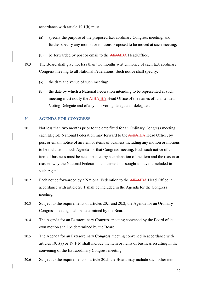accordance with article 19.1(b) must:

- (a) specify the purpose of the proposed Extraordinary Congress meeting, and further specify any motion or motions proposed to be moved at such meeting;
- (b) be forwarded by post or email to the AIBAIBA Head Office.
- 19.3 The Board shall give not less than two months written notice of each Extraordinary Congress meeting to all National Federations. Such notice shall specify:
	- (a) the date and venue of such meeting;
	- (b) the date by which a National Federation intending to be represented at such meeting must notify the AIBAIBA Head Office of the names of its intended Voting Delegate and of any non-voting delegate or delegates.

# 20. AGENDA FOR CONGRESS

- 20.1 Not less than two months prior to the date fixed for an Ordinary Congress meeting, each Eligible National Federation may forward to the AIBAIBA Head Office, by post or email, notice of an item or items of business including any motion or motions to be included in such Agenda for that Congress meeting. Each such notice of an item of business must be accompanied by a explanation of the item and the reason or reasons why the National Federation concerned has sought to have it included in such Agenda.
- 20.2 Each notice forwarded by a National Federation to the AIBAIBA Head Office in accordance with article 20.1 shall be included in the Agenda for the Congress meeting.
- 20.3 Subject to the requirements of articles 20.1 and 20.2, the Agenda for an Ordinary Congress meeting shall be determined by the Board.
- 20.4 The Agenda for an Extraordinary Congress meeting convened by the Board of its own motion shall be determined by the Board.
- 20.5 The Agenda for an Extraordinary Congress meeting convened in accordance with articles 19.1(a) or 19.1(b) shall include the item or items of business resulting in the convening of the Extraordinary Congress meeting.
- 20.6 Subject to the requirements of article 20.5, the Board may include such other item or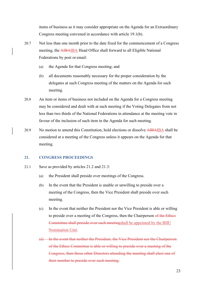items of business as it may consider appropriate on the Agenda for an Extraordinary Congress meeting convened in accordance with article 19.1(b).

- 20.7 Not less than one month prior to the date fixed for the commencement of a Congress meeting, the AIBAIBA Head Office shall forward to all Eligible National Federations by post or email:
	- (a) the Agenda for that Congress meeting; and
	- (b) all documents reasonably necessary for the proper consideration by the delegates at such Congress meeting of the matters on the Agenda for such meeting.
- 20.8 An item or items of business not included on the Agenda for a Congress meeting may be considered and dealt with at such meeting if the Voting Delegates from not less than two thirds of the National Federations in attendance at the meeting vote in favour of the inclusion of such item in the Agenda for such meeting.
- 20.9 No motion to amend this Constitution, hold elections or dissolve AIBAIBA shall be considered at a meeting of the Congress unless it appears on the Agenda for that meeting.

## 21. CONGRESS PROCEEDINGS

- 21.1 Save as provided by articles 21.2 and 21.3:
	- (a) the President shall preside over meetings of the Congress.
	- (b) In the event that the President is unable or unwilling to preside over a meeting of the Congress, then the Vice President shall preside over such meeting.
	- (c) In the event that neither the President nor the Vice President is able or willing to preside over a meeting of the Congress, then the Chairperson of the Ethics Committee shall preside over such meetingshall be appointed by the BIIU Nomination Unit.
	- (d) In the event that neither the President, the Vice President nor the Chairperson of the Ethics Committee is able or willing to preside over a meeting of the Congress, then those other Directors attending the meeting shall elect one of their number to preside over such meeting.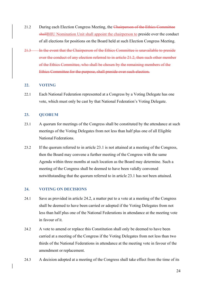- 21.2 During each Election Congress Meeting, the Chairperson of the Ethics Committee shallBIIU Nomination Unit shall appoint the chairperson to preside over the conduct of all elections for positions on the Board held at such Election Congress Meeting.
- 21.3 In the event that the Chairperson of the Ethics Committee is unavailable to preside over the conduct of any election referred to in article 21.2, then such other member of the Ethics Committee, who shall be chosen by the remaining members of the Ethics Committee for the purpose, shall preside over such election.

### 22. VOTING

22.1 Each National Federation represented at a Congress by a Voting Delegate has one vote, which must only be cast by that National Federation's Voting Delegate.

### 23. OUORUM

- 23.1 A quorum for meetings of the Congress shall be constituted by the attendance at such meetings of the Voting Delegates from not less than half plus one of all Eligible National Federations.
- 23.2 If the quorum referred to in article 23.1 is not attained at a meeting of the Congress, then the Board may convene a further meeting of the Congress with the same Agenda within three months at such location as the Board may determine. Such a meeting of the Congress shall be deemed to have been validly convened notwithstanding that the quorum referred to in article 23.1 has not been attained.

### 24. VOTING ON DECISIONS

- 24.1 Save as provided in article 24.2, a matter put to a vote at a meeting of the Congress shall be deemed to have been carried or adopted if the Voting Delegates from not less than half plus one of the National Federations in attendance at the meeting vote in favour of it.
- 24.2 A vote to amend or replace this Constitution shall only be deemed to have been carried at a meeting of the Congress if the Voting Delegates from not less than two thirds of the National Federations in attendance at the meeting vote in favour of the amendment or replacement.
- 24.3 A decision adopted at a meeting of the Congress shall take effect from the time of its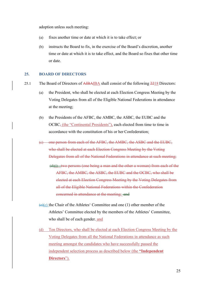adoption unless such meeting:

- (a) fixes another time or date at which it is to take effect; or
- (b) instructs the Board to fix, in the exercise of the Board's discretion, another time or date at which it is to take effect, and the Board so fixes that other time or date.

#### 25. BOARD OF DIRECTORS

- 25.1 The Board of Directors of AIBAIBA shall consist of the following 2218 Directors:
	- (a) the President, who shall be elected at each Election Congress Meeting by the Voting Delegates from all of the Eligible National Federations in attendance at the meeting;
	- (b) the Presidents of the AFBC, the AMBC, the ASBC, the EUBC and the OCBC, (the "Continental Presidents"), each elected from time to time in accordance with the constitution of his or her Confederation;
	- (c) one person from each of the AFBC, the AMBC, the ASBC and the EUBC, who shall be elected at each Election Congress Meeting by the Voting Delegates from all of the National Federations in attendance at such meeting;  $(d)(i)$  two persons (one being a man and the other a woman) from each of the AFBC, the AMBC, the ASBC, the EUBC and the OCBC, who shall be elected at each Election Congress Meeting by the Voting Delegates from all of the Eligible National Federations within the Confederation concerned in attendance at the meeting; and
	- $(e)(c)$  the Chair of the Athletes' Committee and one (1) other member of the Athletes' Committee elected by the members of the Athletes' Committee, who shall be of each gender. and
	- (d) Ten Directors, who shall be elected at each Election Congress Meeting by the Voting Delegates from all the National Federations in attendance as such meeting amongst the candidates who have successfully passed the independent selection process as described below (the "Independent Directors").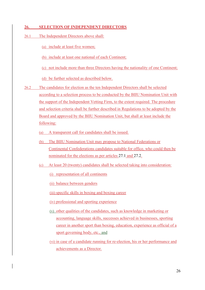## 26. SELECTION OF INDEPENDENT DIRECTORS

- 26.1 The Independent Directors above shall:
	- (a) include at least five women;
	- (b) include at least one national of each Continent;
	- (c) not include more than three Directors having the nationality of one Continent;

(d) be further selected as described below.

- 26.2 The candidates for election as the ten Independent Directors shall be selected according to a selection process to be conducted by the BIIU Nomination Unit with the support of the Independent Vetting Firm, to the extent required. The procedure and selection criteria shall be further described in Regulations to be adopted by the Board and approved by the BIIU Nomination Unit, but shall at least include the following:
	- (a) A transparent call for candidates shall be issued.
	- (b) The BIIU Nomination Unit may propose to National Federations or Continental Confederations candidates suitable for office, who could then be nominated for the elections as per articles 27.1 and 27.2.
	- (c) At least 20 (twenty) candidates shall be selected taking into consideration:
		- (i) representation of all continents
		- (ii) balance between genders
		- (iii) specific skills in boxing and boxing career
		- (iv) professional and sporting experience
		- (v) other qualities of the candidates, such as knowledge in marketing or accounting, language skills, successes achieved in businesses, sporting career in another sport than boxing, education, experience as official of a sport governing body, etc., and
		- (vi) in case of a candidate running for re-election, his or her performance and achievements as a Director.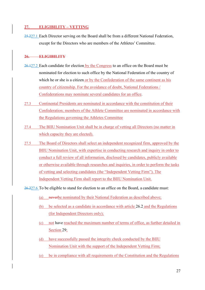# 27. ELIGIBILITY – VETTING

25.227.1 Each Director serving on the Board shall be from a different National Federation, except for the Directors who are members of the Athletes' Committee.

# 26. ELIGIBILITY

- 26.127.2 Each candidate for election by the Congress to an office on the Board must be nominated for election to such office by the National Federation of the country of which he or she is a citizen or by the Confederation of the same continent as his country of citizenship. For the avoidance of doubt, National Federations / Confederations may nominate several candidates for an office.
- 27.3 Continental Presidents are nominated in accordance with the constitution of their Confederation; members of the Athlete Committee are nominated in accordance with the Regulations governing the Athletes Committee
- 27.4 The BIIU Nomination Unit shall be in charge of vetting all Directors (no matter in which capacity they are elected).
- 27.5 The Board of Directors shall select an independent recognized firm, approved by the BIIU Nomination Unit, with expertise in conducting research and inquiry in order to conduct a full review of all information, disclosed by candidates, publicly available or otherwise available through researches and inquiries, in order to perform the tasks of vetting and selecting candidates (the "Independent Vetting Firm"). The Independent Vetting Firm shall report to the BIIU Nomination Unit.

26.227.6 To be eligible to stand for election to an office on the Board, a candidate must:

- (a) neverbe nominated by their National Federation as described above;
- (b) be selected as a candidate in accordance with article 26.2 and the Regulations (for Independent Directors only);
- (c) not have reached the maximum number of terms of office, as further detailed in Section 29;
- (d) have successfully passed the integrity check conducted by the BIIU Nomination Unit with the support of the Independent Vetting Firm;
- (e) be in compliance with all requirements of the Constitution and the Regulations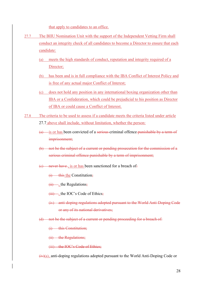that apply to candidates to an office.

- 27.7 The BIIU Nomination Unit with the support of the Independent Vetting Firm shall conduct an integrity check of all candidates to become a Director to ensure that each candidate:
	- (a) meets the high standards of conduct, reputation and integrity required of a Director;
	- (b) has been and is in full compliance with the IBA Conflict of Interest Policy and is free of any actual major Conflict of Interest;
	- (c) does not hold any position in any international boxing organization other than IBA or a Confederation, which could be prejudicial to his position as Director of IBA or could cause a Conflict of Interest.
- 27.8 The criteria to be used to assess if a candidate meets the criteria listed under article 27.7 above shall include, without limitation, whether the person:
	- $(a)$  is or has been convicted of a serious criminal offence punishable by a term of imprisonment;
	- (b) not be the subject of a current or pending prosecution for the commission of a serious criminal offence punishable by a term of imprisonment;
	- $(e)$  never have, is or has been sanctioned for a breach of.
		- $(i)$  this the Constitution;
		- $(ii)$ , the Regulations;
		- $(iii)$  , the IOC's Code of Ethics;
		- (iv) anti-doping regulations adopted pursuant to the World Anti-Doping Code or any of its national derivatives;
	- (d) not be the subject of a current or pending proceeding for a breach of:
		- (i) this Constitution:
		- (ii) the Regulations;
		- (iii) the IOC's Code of Ethics;

 $(iv)(a)$ , anti-doping regulations adopted pursuant to the World Anti-Doping Code or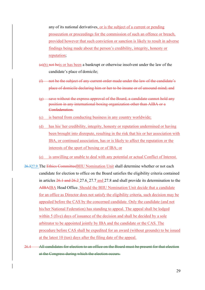any of its national derivatives, or is the subject of a current or pending prosecution or proceedings for the commission of such an offence or breach, provided however that such conviction or sanction is likely to result in adverse findings being made about the person's credibility, integrity, honesty or reputation;

- (e)(b) not beis or has been a bankrupt or otherwise insolvent under the law of the candidate's place of domicile;
- (f) not be the subject of any current order made under the law of the candidate's place of domicile declaring him or her to be insane or of unsound mind; and
- (g) save without the express approval of the Board, a candidate cannot hold any position in any international boxing organization other than AIBA or a Confederation.
- (c) is barred from conducting business in any country worldwide;
- (d) has his/ her credibility, integrity, honesty or reputation undermined or having been brought into disrepute, resulting in the risk that his or her association with IBA, or continued association, has or is likely to affect the reputation or the interests of the sport of boxing or of IBA; or
- (e) is unwilling or unable to deal with any potential or actual Conflict of Interest.
- 26.327.9 The Ethics CommitteeBIIU Nomination Unit shall determine whether or not each candidate for election to office on the Board satisfies the eligibility criteria contained in articles 26.1 and 26.2 27.6, 27.7 and 27.8 and shall provide its determination to the AIBAIBA Head Office. Should the BIIU Nomination Unit decide that a candidate for an office as Director does not satisfy the eligibility criteria, such decision may be appealed before the CAS by the concerned candidate. Only the candidate (and not his/her National Federation) has standing to appeal. The appeal shall be lodged within 5 (five) days of issuance of the decision and shall be decided by a sole arbitrator to be appointed jointly by IBA and the candidate or the CAS. The procedure before CAS shall be expedited for an award (without grounds) to be issued at the latest 10 (ten) days after the filing date of the appeal.
- 26.4 All candidates for election to an office on the Board must be present for that election at the Congress during which the election occurs.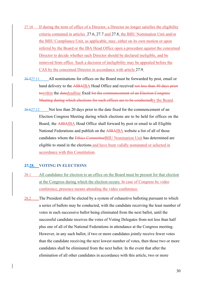- 27.10 If during the term of office of a Director, a Director no longer satisfies the eligibility criteria contained in articles 27.6, 27.7 and 27.8, the BIIU Nomination Unit and/or the BIIU Compliance Unit, as applicable, may, either on its own motion or upon referral by the Board or the IBA Head Office open a procedure against the concerned Director to decide whether such Director should be declared ineligible, and be removed from office. Such a decision of ineligibility may be appealed before the CAS by the concerned Director in accordance with article 27.9.
- 26.527.11 All nominations for offices on the Board must be forwarded by post, email or hand delivery to the AIBAIBA Head Office and received not less than 40 days prior towithin the datedeadline fixed for the commencement of an Election Congress Meeting during which elections for such offices are to be conductedby the Board.
- 26.627.12 Not less than 20 days prior to the date fixed for the commencement of an Election Congress Meeting during which elections are to be held for offices on the Board, the AIBAIBA Head Office shall forward by post or email to all Eligible National Federations and publish on the AIBAIBA website a list of all of those candidates whom the Ethics CommitteeBIIU Nomination Unit has determined are eligible to stand in the elections and have been validly nominated or selected in accordance with this Constitution.

### 27.28. VOTING IN ELECTIONS

- 28.1 All candidates for election to an office on the Board must be present for that election at the Congress during which the election occurs. In case of Congress by video conference, presence means attending the video conference.
- 28.2 The President shall be elected by a system of exhaustive balloting pursuant to which a series of ballots may be conducted, with the candidate receiving the least number of votes in each successive ballot being eliminated from the next ballot, until the successful candidate receives the votes of Voting Delegates from not less than half plus one of all of the National Federations in attendance at the Congress meeting. However, in any such ballot, if two or more candidates jointly receive fewer votes than the candidate receiving the next lowest number of votes, then those two or more candidates shall be eliminated from the next ballot. In the event that after the elimination of all other candidates in accordance with this article, two or more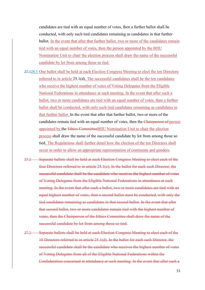candidates are tied with an equal number of votes, then a further ballot shall be conducted, with only such tied candidates remaining as candidates in that further ballot. In the event that after that further ballot, two or more of the candidates remain tied with an equal number of votes, then the person appointed by the BIIU Nomination Unit to chair the election process shall draw the name of the successful candidate by lot from among those so tied.

- 27.128.3 One ballot shall be held at each Election Congress Meeting to elect the ten Directors referred to in article 25.1(d). The successful candidates shall be the ten candidates who receive the highest number of votes of Voting Delegates from the Eligible National Federations in attendance at such meeting. In the event that after such a ballot, two or more candidates are tied with an equal number of votes, then a further ballot shall be conducted, with only such tied candidates remaining as candidates in that further ballot. In the event that after that further ballot, two or more of the candidates remain tied with an equal number of votes, then the Chairperson of person appointed by the Ethics CommitteeBIIU Nomination Unit to chair the election process shall draw the name of the successful candidate by lot from among those so tied. The Regulations shall further detail how the election of the ten Directors shall occur in order to allow an appropriate representation of continents and genders.
- 27.2 Separate ballots shall be held at each Election Congress Meeting to elect each of the four Directors referred to in article 25.1(c). In the ballot for each such Director, the successful candidate shall be the candidate who receives the highest number of votes of Voting Delegates from the Eligible National Federations in attendance at such meeting. In the event that after such a ballot, two or more candidates are tied with an equal highest number of votes, then a second ballot must be conducted, with only the tied candidates remaining as candidates in that second ballot. In the event that after that second ballot, two or more candidates remain tied with the highest number of votes, then the Chairperson of the Ethics Committee shall draw the name of the successful candidate by lot from among those so tied.
- 27.3 Separate ballots shall be held at each Election Congress Meeting to elect each of the 10 Directors referred to in article 25.1(d). In the ballot for each such Director, the successful candidate shall be the candidate who receives the highest number of votes of Voting Delegates from all of the Eligible National Federations within the Confederation concerned in attendance at such meeting. In the event that after such a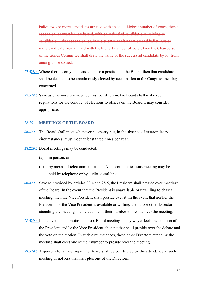ballot, two or more candidates are tied with an equal highest number of votes, then a second ballot must be conducted, with only the tied candidates remaining as candidates in that second ballot. In the event that after that second ballot, two or more candidates remain tied with the highest number of votes, then the Chairperson of the Ethics Committee shall draw the name of the successful candidate by lot from among those so tied.

- 27.428.4 Where there is only one candidate for a position on the Board, then that candidate shall be deemed to be unanimously elected by acclamation at the Congress meeting concerned.
- 27.528.5 Save as otherwise provided by this Constitution, the Board shall make such regulations for the conduct of elections to offices on the Board it may consider appropriate.

#### 28.29. MEETINGS OF THE BOARD

28.129.1 The Board shall meet whenever necessary but, in the absence of extraordinary circumstances, must meet at least three times per year.

28.229.2 Board meetings may be conducted:

- (a) in person, or
- (b) by means of telecommunications. A telecommunications meeting may be held by telephone or by audio-visual link.
- 28.329.3 Save as provided by articles 28.4 and 28.5, the President shall preside over meetings of the Board. In the event that the President is unavailable or unwilling to chair a meeting, then the Vice President shall preside over it. In the event that neither the President nor the Vice President is available or willing, then those other Directors attending the meeting shall elect one of their number to preside over the meeting.
- 28.429.4 In the event that a motion put to a Board meeting in any way affects the position of the President and/or the Vice President, then neither shall preside over the debate and the vote on the motion. In such circumstances, those other Directors attending the meeting shall elect one of their number to preside over the meeting.
- 28.529.5 A quorum for a meeting of the Board shall be constituted by the attendance at such meeting of not less than half plus one of the Directors.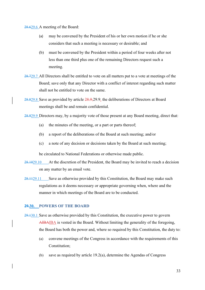28.629.6 A meeting of the Board:

- (a) may be convened by the President of his or her own motion if he or she considers that such a meeting is necessary or desirable; and
- (b) must be convened by the President within a period of four weeks after not less than one third plus one of the remaining Directors request such a meeting.
- 28.729.7 All Directors shall be entitled to vote on all matters put to a vote at meetings of the Board; save only that any Director with a conflict of interest regarding such matter shall not be entitled to vote on the same.
- 28.829.8 Save as provided by article 28.9,29.9, the deliberations of Directors at Board meetings shall be and remain confidential.
- 28.929.9 Directors may, by a majority vote of those present at any Board meeting, direct that:
	- (a) the minutes of the meeting, or a part or parts thereof;
	- (b) a report of the deliberations of the Board at such meeting; and/or
	- (c) a note of any decision or decisions taken by the Board at such meeting;

be circulated to National Federations or otherwise made public.

- 28.1029.10 At the discretion of the President, the Board may be invited to reach a decision on any matter by an email vote.
- 28.1129.11 Save as otherwise provided by this Constitution, the Board may make such regulations as it deems necessary or appropriate governing when, where and the manner in which meetings of the Board are to be conducted.

### 29.30. POWERS OF THE BOARD

- 29.130.1 Save as otherwise provided by this Constitution, the executive power to govern AIBAIBA is vested in the Board. Without limiting the generality of the foregoing, the Board has both the power and, where so required by this Constitution, the duty to:
	- (a) convene meetings of the Congress in accordance with the requirements of this Constitution;
	- (b) save as required by article 19.2(a), determine the Agendas of Congress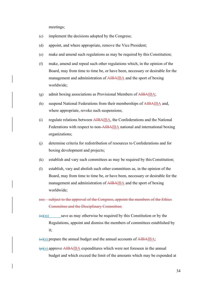meetings;

- (c) implement the decisions adopted by the Congress;
- (d) appoint, and where appropriate, remove the Vice President;
- (e) make and amend such regulations as may be required by this Constitution;
- (f) make, amend and repeal such other regulations which, in the opinion of the Board, may from time to time be, or have been, necessary or desirable for the management and administration of AIBAIBA and the sport of boxing worldwide;
- (g) admit boxing associations as Provisional Members of AIBAIBA;
- (h) suspend National Federations from their memberships of AIBAIBA and, where appropriate, revoke such suspensions;
- (i) regulate relations between AIBAIBA, the Confederations and the National Federations with respect to non-AIBAIBA national and international boxing organizations;
- (j) determine criteria for redistribution of resources to Confederations and for boxing development and projects;
- (k) establish and vary such committees as may be required by this Constitution;
- (l) establish, vary and abolish such other committees as, in the opinion of the Board, may from time to time be, or have been, necessary or desirable for the management and administration of AIBAIBA and the sport of boxing worldwide;
- (m) subject to the approval of the Congress, appoint the members of the Ethics Committee and the Disciplinary Committee;
- $\left(\frac{m}{m}\right)$  save as may otherwise be required by this Constitution or by the Regulations, appoint and dismiss the members of committees established by it;
- $\overline{(\Theta)}(n)$  prepare the annual budget and the annual accounts of AIBAIBA;
- $\overline{(p)}$ (o) approve AIBAIBA expenditures which were not foreseen in the annual budget and which exceed the limit of the amounts which may be expended at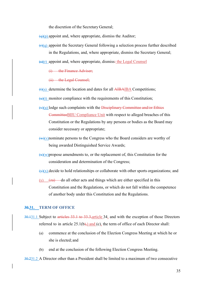the discretion of the Secretary General;

 $\left(\frac{q}{p}\right)$  appoint and, where appropriate, dismiss the Auditor;

 $\left(\frac{f}{f}\right)(q)$  appoint the Secretary General following a selection process further described in the Regulations, and, where appropriate, dismiss the Secretary General;

 $\left(\frac{1}{s}(r)\right)$  appoint and, where appropriate, dismiss: the Legal Counsel

(i) the Finance Adviser:

(ii) the Legal Counsel;

 $(t)(s)$  determine the location and dates for all AIBAIBA Competitions;

 $(u)(t)$  monitor compliance with the requirements of this Constitution;

- $(v)(u)$  lodge such complaints with the Disciplinary Committee and/or Ethics CommitteeBIIU Compliance Unit with respect to alleged breaches of this Constitution or the Regulations by any persons or bodies as the Board may consider necessary or appropriate;
- $(w)(y)$  nominate persons to the Congress who the Board considers are worthy of being awarded Distinguished Service Awards;
- $\frac{f(x)(w)}{w}$  propose amendments to, or the replacement of, this Constitution for the consideration and determination of the Congress;
- $(\gamma)(x)$  decide to hold relationships or collaborate with other sports organizations; and
- (y)  $\left( \frac{z}{2a} \right)$  do all other acts and things which are either specified in this Constitution and the Regulations, or which do not fall within the competence of another body under this Constitution and the Regulations.

#### 30.31. TERM OF OFFICE

- 30.131.1 Subject to articles 33.1 to 33.3,article 34, and with the exception of those Directors referred to in article  $25.1(b)$ , and (c), the term of office of each Director shall:
	- (a) commence at the conclusion of the Election Congress Meeting at which he or she is elected; and
	- (b) end at the conclusion of the following Election Congress Meeting.

#### 30.231.2 A Director other than a President shall be limited to a maximum of two consecutive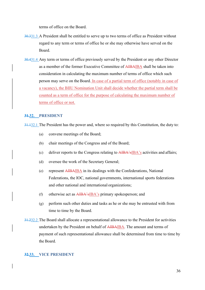terms of office on the Board.

- 30.331.3 A President shall be entitled to serve up to two terms of office as President without regard to any term or terms of office he or she may otherwise have served on the Board.
- 30.431.4 Any term or terms of office previously served by the President or any other Director as a member of the former Executive Committee of AIBAIBA shall be taken into consideration in calculating the maximum number of terms of office which such person may serve on the Board. In case of a partial term of office (notably in case of a vacancy), the BIIU Nomination Unit shall decide whether the partial term shall be counted as a term of office for the purpose of calculating the maximum number of terms of office or not.

## 31.32. PRESIDENT

31.132.1 The President has the power and, where so required by this Constitution, the duty to:

- (a) convene meetings of the Board;
- (b) chair meetings of the Congress and of the Board;
- (c) deliver reports to the Congress relating to  $\overrightarrow{AIBA}$ 's activities and affairs;
- (d) oversee the work of the Secretary General;
- (e) represent AIBAIBA in its dealings with the Confederations, National Federations, the IOC, national governments, international sports federations and other national and international organizations;
- (f) otherwise act as AIBA'sIBA's primary spokesperson; and
- (g) perform such other duties and tasks as he or she may be entrusted with from time to time by the Board.
- 31.232.2 The Board shall allocate a representational allowance to the President for activities undertaken by the President on behalf of AIBAIBA. The amount and terms of payment of such representational allowance shall be determined from time to time by the Board.

### 32.33. VICE PRESIDENT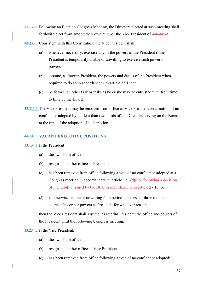32.133.1 Following an Election Congress Meeting, the Directors elected at such meeting shall forthwith elect from among their own number the Vice President of AIBAIBA.

32.233.2 Consistent with this Constitution, the Vice President shall:

- (a) whenever necessary, exercise any of the powers of the President if the President is temporarily unable or unwilling to exercise such power or powers;
- (b) assume, as Interim President, the powers and duties of the President when required to do so in accordance with article 33.1; and
- (c) perform such other task or tasks as he or she may be entrusted with from time to time by the Board.
- 32.333.3 The Vice President may be removed from office as Vice President on a motion of no confidence adopted by not less than two thirds of the Directors serving on the Board at the time of the adoption of such motion.

# 33.34. VACANT EXECUTIVE POSITIONS

33.134.1 If the President

- (a) dies whilst in office;
- (b) resigns his or her office as President;
- (c) has been removed from office following a vote of no confidence adopted at a Congress meeting in accordance with article 17.1(d);) or following a decision of ineligibility issued by the BIIU in accordance with article 27.10; or
- (d) is otherwise unable or unwilling for a period in excess of three months to exercise his or her powers as President for whatever reason;

then the Vice President shall assume, as Interim President, the office and powers of the President until the following Congress meeting.

33.234.2 If the Vice President:

- (a) dies whilst in office;
- (b) resigns his or her office as Vice President;
- (c) has been removed from office following a vote of no confidence adopted: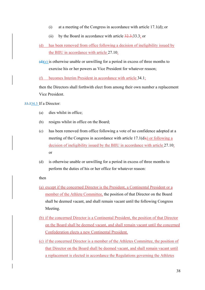- (i) at a meeting of the Congress in accordance with article 17.1(d); or
- (ii) by the Board in accordance with article  $32.3$ ; 33.3; or
- (d) has been removed from office following a decision of ineligibility issued by the BIIU in accordance with article 27.10;
- $\left(\frac{d}{e}\right)\left(e\right)$  is otherwise unable or unwilling for a period in excess of three months to exercise his or her powers as Vice President for whatever reason;
- (f) becomes Interim President in accordance with article 34.1;

then the Directors shall forthwith elect from among their own number a replacement Vice President.

## 33.334.3 If a Director:

- (a) dies whilst in office;
- (b) resigns whilst in office on the Board;
- (c) has been removed from office following a vote of no confidence adopted at a meeting of the Congress in accordance with article  $17.1(d)$ ;) or following a decision of ineligibility issued by the BIIU in accordance with article 27.10; or
- (d) is otherwise unable or unwilling for a period in excess of three months to perform the duties of his or her office for whatever reason:

then

- (a) except if the concerned Director is the President, a Continental President or a member of the Athlete Committee, the position of that Director on the Board shall be deemed vacant, and shall remain vacant until the following Congress Meeting.
- (b) if the concerned Director is a Continental President, the position of that Director on the Board shall be deemed vacant, and shall remain vacant until the concerned Confederation elects a new Continental President.
- (c) if the concerned Director is a member of the Athletes Committee, the position of that Director on the Board shall be deemed vacant, and shall remain vacant until a replacement is elected in accordance the Regulations governing the Athletes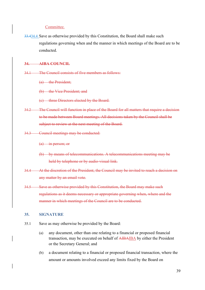### Committee.

33.434.4 Save as otherwise provided by this Constitution, the Board shall make such regulations governing when and the manner in which meetings of the Board are to be conducted.

### 34. AIBA COUNCIL

- 34.1 The Council consists of five members as follows:
	- (a) the President;
	- (b) the Vice President; and
	- (c) three Directors elected by the Board.
- 34.2 The Council will function in place of the Board for all matters that require a decision to be made between Board meetings. All decisions taken by the Council shall be subject to review at the next meeting of the Board.
- 34.3 Council meetings may be conducted:
	- (a) in person; or
	- (b) by means of telecommunications. A telecommunications meeting may be held by telephone or by audio-visual link.
- 34.4 At the discretion of the President, the Council may be invited to reach a decision on any matter by an email vote.
- 34.5 Save as otherwise provided by this Constitution, the Board may make such regulations as it deems necessary or appropriate governing when, where and the manner in which meetings of the Council are to be conducted.

#### 35. SIGNATURE

- 35.1 Save as may otherwise be provided by the Board:
	- (a) any document, other than one relating to a financial or proposed financial transaction, may be executed on behalf of AIBAIBA by either the President or the Secretary General; and
	- (b) a document relating to a financial or proposed financial transaction, where the amount or amounts involved exceed any limits fixed by the Board on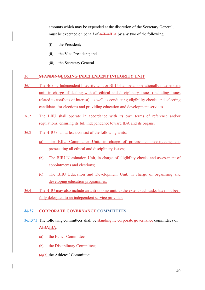amounts which may be expended at the discretion of the Secretary General, must be executed on behalf of AIBAIBA by any two of the following:

- (i) the President;
- (ii) the Vice President; and
- (iii) the Secretary General.

### 36. STANDINGBOXING INDEPENDENT INTEGRITY UNIT

- 36.1 The Boxing Independent Integrity Unit or BIIU shall be an operationally independent unit, in charge of dealing with all ethical and disciplinary issues (including issues related to conflicts of interest), as well as conducting eligibility checks and selecting candidates for elections and providing education and development services.
- 36.2 The BIIU shall operate in accordance with its own terms of reference and/or regulations, ensuring its full independence toward IBA and its organs.
- 36.3 The BIIU shall at least consist of the following units:
	- (a) The BIIU Compliance Unit, in charge of processing, investigating and prosecuting all ethical and disciplinary issues;
	- (b) The BIIU Nomination Unit, in charge of eligibility checks and assessment of appointments and elections;
	- (c) The BIIU Education and Development Unit, in charge of organising and developing education programmes.
- 36.4 The BIIU may also include an anti-doping unit, to the extent such tasks have not been fully delegated to an independent service provider.

# 36.37. CORPORATE GOVERNANCE COMMITTEES

36.137.1 The following committees shall be standingthe corporate governance committees of AIBAIBA:

(a) the Ethics Committee;

(b) the Disciplinary Committee;

 $(e)(a)$  the Athletes' Committee;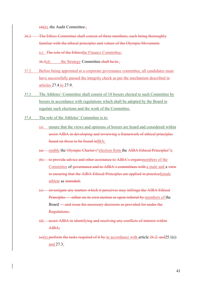$(d)(b)$ -the Audit Committee.;

36.2 The Ethics Committee shall consist of three members, each being thoroughly familiar with the ethical principles and values of the Olympic Movement.

(c) The role of the Ethicsthe Finance Committee;

 $36.3(d)$  the Strategy Committee shall be to:.

- 37.2 Before being appointed at a corporate governance committee, all candidates must have successfully passed the integrity check as per the mechanism described in articles 27.4 to 27.9.
- 37.3 The Athletes' Committee shall consist of 10 boxers elected to such Committee by boxers in accordance with regulations which shall be adopted by the Board to regulate such elections and the work of the Committee.
- 37.4 The role of the Athletes' Committee is to:
	- (a) ensure that the views and opinions of boxers are heard and considered within assist AIBA in developing and reviewing a framework of ethical principles based on those to be found inIBA;
	- (a) enable the Olympic Charter ("election from the AIBA Ethical Principles");
	- (b) to provide advice and other assistance to AIBA's organsmembers of the Committee of governance and to AIBA's committees with a male and a view to ensuring that the AIBA Ethical Principles are applied in practicefemale athlete as intended;
	- (c) investigate any matters which it perceives may infringe the AIBA Ethical Principles — either on its own motion or upon referral by members of the Board — and issue the necessary decisions as provided for under the Regulations;
	- (d) assist AIBA in identifying and resolving any conflicts of interest within AIBA;
	- (e)(b) perform the tasks required of it by in accordance with article  $26.2$ ; and  $25.1(c)$ and 27.3;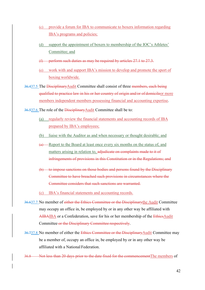- (c) provide a forum for IBA to communicate to boxers information regarding IBA's programs and policies;
- (d) support the appointment of boxers to membership of the IOC's Athletes' Committee; and
- (f) perform such duties as may be required by articles 27.1 to 27.3.
- (e) work with and support IBA's mission to develop and promote the sport of boxing worldwide.
- 36.437.5 The Disciplinary Audit Committee shall consist of three members, each being qualified to practice law in his or her country of origin and/or of domicileor more members independent members possessing financial and accounting expertise.

36.537.6 The role of the DisciplinaryAudit Committee shall be to:

- (a) regularly review the financial statements and accounting records of IBA prepared by IBA's employees;
- (b) liaise with the Auditor as and when necessary or thought desirable; and
- (a) Report to the Board at least once every six months on the status of, and matters arising in relation to, adjudicate on complaints made to it of infringements of provisions in this Constitution or in the Regulations; and
- (b) to impose sanctions on those bodies and persons found by the Disciplinary Committee to have breached such provisions in circumstances where the Committee considers that such sanctions are warranted.

(c) IBA's financial statements and accounting records.

- 36.637.7 No member of either the Ethics Committee or the Disciplinarythe Audit Committee may occupy an office in, be employed by or in any other way be affiliated with AIBAIBA or a Confederation, save for his or her membership of the EthicsAudit Committee or the Disciplinary Committee respectively.
- 36.737.8 No member of either the Ethics Committee or the DisciplinaryAudit Committee may be a member of, occupy an office in, be employed by or in any other way be affiliated with a National Federation.
- 36.8 Not less than 20 days prior to the date fixed for the commencementThe members of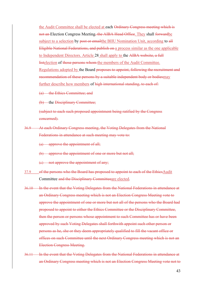the Audit Committee shall be elected at each Ordinary Congress meeting which is not an Election Congress Meeting, the AIBA Head Office. They shall forwardbe subject to a selection by post or emailthe BIIU Nomination Unit, according to all Eligible National Federations, and publish on a process similar as the one applicable to Independent Directors. Article 28 shall apply to the AIBA website, a full listelection of those persons whom the members of the Audit Committee. Regulations adopted by the Board proposes to appoint, following the recruitment and recommendation of these persons by a suitable independent body or bodiesmay further describe how members of high international standing, to each of:

(a) the Ethics Committee; and

(b) the Disciplinary Committee;

(subject to each such proposed appointment being ratified by the Congress concerned).

36.9 At each Ordinary Congress meeting, the Voting Delegates from the National Federations in attendance at such meeting may vote to:

(a) approve the appointment of all;

(b) approve the appointment of one or more but not all;

(c) not approve the appointment of any;

- 37.9 of the persons who the Board has proposed to appoint to each of the EthicsAudit Committee and the Disciplinary Committeeare elected.
- 36.10 In the event that the Voting Delegates from the National Federations in attendance at an Ordinary Congress meeting which is not an Election Congress Meeting vote to approve the appointment of one or more but not all of the persons who the Board had proposed to appoint to either the Ethics Committee or the Disciplinary Committee, then the person or persons whose appointment to such Committee has or have been approved by such Voting Delegates shall forthwith appoint such other person or persons as he, she or they deem appropriately qualified to fill the vacant office or offices on such Committee until the next Ordinary Congress meeting which is not an Election Congress Meeting.
- 36.11 In the event that the Voting Delegates from the National Federations in attendance at an Ordinary Congress meeting which is not an Election Congress Meeting vote not to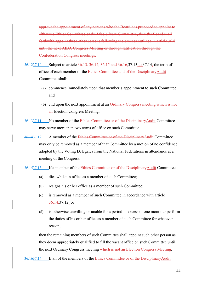approve the appointment of any persons who the Board has proposed to appoint to either the Ethics Committee or the Disciplinary Committee, then the Board shall forthwith appoint three other persons following the process outlined in article 36.8 until the next AIBA Congress Meeting or through ratification through the Confederation Congress meetings.

- 36.1237.10 Subject to article 36.13. 36.14, 36.15 and 36.16, 37.13 to 37.14, the term of office of each member of the Ethies Committee and of the DisciplinaryAudit Committee shall:
	- (a) commence immediately upon that member's appointment to such Committee; and
	- (b) end upon the next appointment at an Ordinary Congress meeting which is not an-Election Congress Meeting.
- 36.1337.11 No member of the Ethics Committee or of the DisciplinaryAudit Committee may serve more than two terms of office on such Committee.
- 36.1437.12 A member of the Ethics Committee or of the DisciplinaryAudit Committee may only be removed as a member of that Committee by a motion of no confidence adopted by the Voting Delegates from the National Federations in attendance at a meeting of the Congress.
- 36.1537.13 If a member of the Ethics Committee or of the DisciplinaryAudit Committee:
	- (a) dies whilst in office as a member of such Committee;
	- (b) resigns his or her office as a member of such Committee;
	- (c) is removed as a member of such Committee in accordance with article 36.14;37.12; or
	- (d) is otherwise unwilling or unable for a period in excess of one month to perform the duties of his or her office as a member of such Committee for whatever reason;

then the remaining members of such Committee shall appoint such other person as they deem appropriately qualified to fill the vacant office on such Committee until the next Ordinary Congress meeting which is not an Election Congress Meeting.

36.1637.14 If all of the members of the Ethics Committee or of the DisciplinaryAudit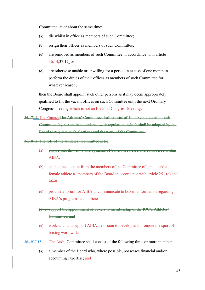Committee, at or about the same time:

- (a) die whilst in office as members of such Committee;
- (b) resign their offices as members of such Committee;
- (c) are removed as members of such Committee in accordance with article 36.14;37.12; or
- (d) are otherwise unable or unwilling for a period in excess of one month to perform the duties of their offices as members of such Committee for whatever reason;

then the Board shall appoint such other persons as it may deem appropriately qualified to fill the vacant offices on such Committee until the next Ordinary Congress meeting which is not an Election Congress Meeting.

36.171.1 The FinanceThe Athletes' Committee shall consist of 10 boxers elected to such Committee by boxers in accordance with regulations which shall be adopted by the Board to regulate such elections and the work of the Committee.

36.181.1 The role of the Athletes' Committee is to:

- (a) ensure that the views and opinions of boxers are heard and considered within AIBA;
- (b) enable the election from the members of the Committee of a male and a female athlete as members of the Board in accordance with article 25.1(e) and 25.2;
- (c) provide a forum for AIBA to communicate to boxers information regarding AIBA's programs and policies;
- (d)(a) support the appointment of boxers to membership of the IOC's Athletes' Committee; and
- (e) work with and support AIBA's mission to develop and promote the sport of boxing worldwide.
- 36.1937.15 The Audit Committee shall consist of the following three or more members:
	- (a) a member of the Board who, where possible, possesses financial and/or accounting expertise; and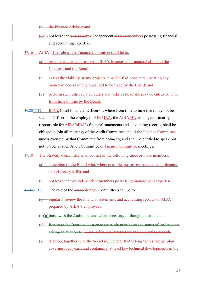(b) the Finance Adviser; and

- $\left(\frac{e}{b}\right)$  not less than one othertwo independent membermembers possessing financial and accounting expertise.
- 37.16 AIBA'sThe role of the Finance Committee shall be to:
	- (a) provide advice with respect to IBA's finances and financial affairs to the Congress and the Board;
	- (b) assess the viability of any projects in which IBA considers investing any money in excess of any threshold to be fixed by the Board; and
	- (d) perform such other related duties and tasks as he or she may be entrusted with from time to time by the Board.
- 36.2037.17 IBA's Chief Financial Officer or, where from time to time there may not be such an Officer in the employ of AIBAIBA, the AIBAIBA employee primarily responsible for AIBA'sIBA's financial statements and accounting records, shall be obliged to join all meetings of the Audit Committee and of the Finance Committee unless excused by that Committee from doing so; and shall be entitled to speak but not to vote at such Audit Committee or Finance Committee meetings.
- 37.18 The Strategy Committee shall consist of the following three or more members:
	- (a) a member of the Board who, where possible, possesses management, planning and visionary skills; and
	- (b) not less than two independent members possessing management expertise.
- 36.2137.19 The role of the AuditStrategy Committee shall be to:
	- (a) regularly review the financial statements and accounting records of AIBA prepared by AIBA's employees;
	- (b)(a)liaise with the Auditor as and when necessary or thought desirable; and
	- (c) Report to the Board at least once every six months on the status of, and matters arising in relation to, AIBA's financial statements and accounting records
	- (a) develop, together with the Secretary General IBA's long term strategic plan covering four years, and containing, at least key technical developments in the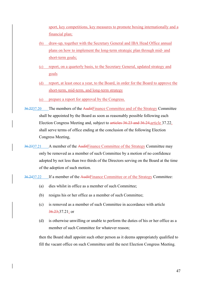sport, key competitions, key measures to promote boxing internationally and a financial plan;

- (b) draw-up, together with the Secretary General and IBA Head Office annual plans on how to implement the long-term strategic plan through mid- and short-term goals;
- (c) report, on a quarterly basis, to the Secretary General, updated strategy and goals
- (d) report, at least once a year, to the Board, in order for the Board to approve the short-term, mid-term, and long-term strategy
- (e) prepare a report for approval by the Congress.
- 36.2237.20 The members of the AuditFinance Committee and of the Strategy Committee shall be appointed by the Board as soon as reasonably possible following each Election Congress Meeting and, subject to articles 36.23 and 36.24,article 37.22, shall serve terms of office ending at the conclusion of the following Election Congress Meeting,
- 36.2337.21 A member of the AuditFinance Committee of the Strategy Committee may only be removed as a member of such Committee by a motion of no confidence adopted by not less than two thirds of the Directors serving on the Board at the time of the adoption of such motion.
- 36.2437.22 If a member of the Audit Finance Committee or of the Strategy Committee:
	- (a) dies whilst in office as a member of such Committee;
	- (b) resigns his or her office as a member of such Committee;
	- (c) is removed as a member of such Committee in accordance with article 36.23;37.21; or
	- (d) is otherwise unwilling or unable to perform the duties of his or her office as a member of such Committee for whatever reason;

then the Board shall appoint such other person as it deems appropriately qualified to fill the vacant office on such Committee until the next Election Congress Meeting.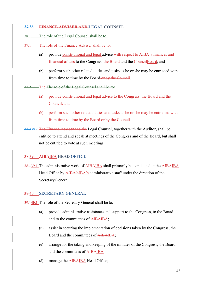#### 37.38. FINANCE ADVISER AND LEGAL COUNSEL

#### 38.1 The role of the Legal Counsel shall be to:

#### 37.1 The role of the Finance Adviser shall be to:

- (a) provide constitutional and legal advice with respect to AIBA's finances and financial affairs to the Congress, the Board and the CouncilBoard; and
- (b) perform such other related duties and tasks as he or she may be entrusted with from time to time by the Board or by the Council.

37.21.1 The The role of the Legal Counsel shall be to:

- (a) provide constitutional and legal advice to the Congress, the Board and the Council; and
- (b) perform such other related duties and tasks as he or she may be entrusted with from time to time by the Board or by the Council.
- 37.338.2 The Finance Adviser and the Legal Counsel, together with the Auditor, shall be entitled to attend and speak at meetings of the Congress and of the Board, but shall not be entitled to vote at such meetings.

#### 38.39. AIBAIBA HEAD OFFICE

38.139.1 The administrative work of AIBAIBA shall primarily be conducted at the AIBAIBA Head Office by AIBA'sIBA's administrative staff under the direction of the Secretary General.

#### 39.40. SECRETARY GENERAL

39.140.1 The role of the Secretary General shall be to:

- (a) provide administrative assistance and support to the Congress, to the Board and to the committees of AIBAIBA;
- (b) assist in securing the implementation of decisions taken by the Congress, the Board and the committees of AIBAIBA;
- (c) arrange for the taking and keeping of the minutes of the Congress, the Board and the committees of AIBAIBA;
- (d) manage the AIBAIBA Head Office;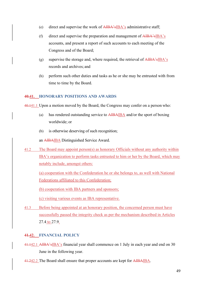- (e) direct and supervise the work of AIBA'sIBA's administrative staff;
- (f) direct and supervise the preparation and management of AIBA'sIBA's accounts, and present a report of such accounts to each meeting of the Congress and of the Board;
- (g) supervise the storage and, where required, the retrieval of  $\overrightarrow{AIBA}$ 's $\overrightarrow{B}BA$ 's records and archives; and
- (h) perform such other duties and tasks as he or she may be entrusted with from time to time by the Board.

# 40.41. HONORARY POSITIONS AND AWARDS

40.141.1 Upon a motion moved by the Board, the Congress may confer on a person who:

- (a) has rendered outstanding service to AIBAIBA and/or the sport of boxing worldwide; or
- (b) is otherwise deserving of such recognition;

an AIBAIBA Distinguished Service Award.

41.2 The Board may appoint person(s) as honorary Officials without any authority within IBA's organization to perform tasks entrusted to him or her by the Board, which may notably include, amongst others:

(a) cooperation with the Confederation he or she belongs to, as well with National Federations affiliated to this Confederation;

(b) cooperation with IBA partners and sponsors;

(c) visiting various events as IBA representative.

41.3 Before being appointed at an honorary position, the concerned person must have successfully passed the integrity check as per the mechanism described in Articles 27.4 to 27.9.

# 41.42. FINANCIAL POLICY

- 41.142.1 AIBA'sIBA's financial year shall commence on 1 July in each year and end on 30 June in the following year.
- 41.242.2 The Board shall ensure that proper accounts are kept for AIBAIBA.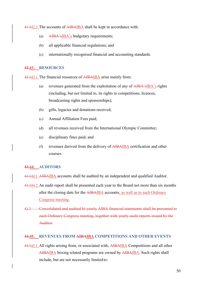41.342.3 The accounts of AIBAIBA shall be kept in accordance with:

- (a) AIBA'sIBA's budgetary requirements;
- (b) all applicable financial regulations; and
- (c) internationally recognised financial and accounting standards.

#### 42.43. RESOURCES

42.143.1 The financial resources of AIBAIBA arise mainly from:

- (a) revenues generated from the exploitation of any of AIBA'sIBA's rights (including, but not limited to, its rights to competitions, licences, broadcasting rights and sponsorships);
- (b) gifts, legacies and donations received;
- (c) Annual Affiliation Fees paid;
- (d) all revenues received from the International Olympic Committee;
- (e) disciplinary fines paid; and
- (f) revenues derived from the delivery of AIBAIBA certification and other courses.

### 43.44. AUDITORS

43.144.1 AIBAIBA accounts shall be audited by an independent and qualified Auditor.

- 43.244.2 An audit report shall be presented each year to the Board not more than six months after the closing date for the AIBAIBA accounts, as well as to each Ordinary Congress meeting.
- 43.3 Consolidated and audited bi-yearly AIBA financial statements shall be presented to each Ordinary Congress meeting, together with yearly audit reports issued by the Auditor.

# 44.45. REVENUES FROM AIBAIBA COMPETITIONS AND OTHER EVENTS

44.145.1 All rights arising from, or associated with, AIBAIBA Competitions and all other AIBAIBA boxing related programs are owned by AIBAIBA. Such rights shall include, but are not necessarily limited to: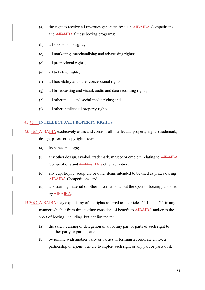- (a) the right to receive all revenues generated by such AIBAIBA Competitions and AIBAIBA fitness boxing programs;
- (b) all sponsorship rights;
- (c) all marketing, merchandising and advertising rights;
- (d) all promotional rights;
- (e) all ticketing rights;
- (f) all hospitality and other concessional rights;
- (g) all broadcasting and visual, audio and data recording rights;
- (h) all other media and social media rights; and
- (i) all other intellectual property rights.

# 45.46. INTELLECTUAL PROPERTY RIGHTS

45.146.1 AIBAIBA exclusively owns and controls all intellectual property rights (trademark, design, patent or copyright) over:

- (a) its name and logo;
- (b) any other design, symbol, trademark, mascot or emblem relating to AIBAIBA Competitions and AIBA'sIBA's other activities;
- (c) any cup, trophy, sculpture or other items intended to be used as prizes during AIBAIBA Competitions; and
- (d) any training material or other information about the sport of boxing published by AIBAIBA.

45.246.2 AIBAIBA may exploit any of the rights referred to in articles 44.1 and 45.1 in any manner which it from time to time considers of benefit to AIBAIBA and/or to the sport of boxing; including, but not limited to:

- (a) the sale, licensing or delegation of all or any part or parts of such right to another party or parties; and
- (b) by joining with another party or parties in forming a corporate entity, a partnership or a joint venture to exploit such right or any part or parts of it.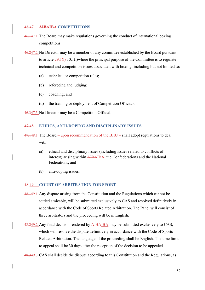### 46.47. AIBAIBA COMPETITIONS

- 46.147.1 The Board may make regulations governing the conduct of international boxing competitions.
- 46.247.2 No Director may be a member of any committee established by the Board pursuant to article 29.1(l) 30.1(l)where the principal purpose of the Committee is to regulate technical and competition issues associated with boxing; including but not limited to:
	- (a) technical or competition rules;
	- (b) refereeing and judging;
	- (c) coaching; and
	- (d) the training or deployment of Competition Officials.

46.347.3 No Director may be a Competition Official.

### 47.48. ETHICS, ANTI-DOPING AND DISCIPLINARY ISSUES

47.148.1 The Board – upon recommendation of the BIIU – shall adopt regulations to deal with:

- (a) ethical and disciplinary issues (including issues related to conflicts of interest) arising within AIBAIBA, the Confederations and the National Federations; and
- (b) anti-doping issues.

#### **48.49. COURT OF ARBITRATION FOR SPORT**

- 48.149.1 Any dispute arising from the Constitution and the Regulations which cannot be settled amicably, will be submitted exclusively to CAS and resolved definitively in accordance with the Code of Sports Related Arbitration. The Panel will consist of three arbitrators and the proceeding will be in English.
- 48.249.2 Any final decision rendered by AIBAIBA may be submitted exclusively to CAS, which will resolve the dispute definitively in accordance with the Code of Sports Related Arbitration. The language of the proceeding shall be English. The time limit to appeal shall be 30 days after the reception of the decision to be appealed.

48.349.3 CAS shall decide the dispute according to this Constitution and the Regulations, as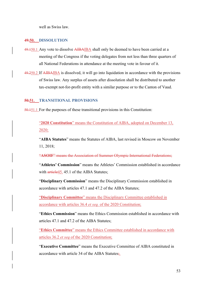well as Swiss law.

### 49.50. DISSOLUTION

- 49.150.1 Any vote to dissolve AIBAIBA shall only be deemed to have been carried at a meeting of the Congress if the voting delegates from not less than three quarters of all National Federations in attendance at the meeting vote in favour of it.
- 49.250.2 If AIBAIBA is dissolved, it will go into liquidation in accordance with the provisions of Swiss law. Any surplus of assets after dissolution shall be distributed to another tax-exempt not-for-profit entity with a similar purpose or to the Canton of Vaud.

## 50.51. TRANSITIONAL PROVISIONS

50.151.1 For the purposes of these transitional provisions in this Constitution:

"2020 Constitution" means the Constitution of AIBA, adopted on December 13, 2020;

"AIBA Statutes" means the Statutes of AIBA, last revised in Moscow on November 11, 2018;

"ASOIF" means the Association of Summer Olympic International Federations;

"Athletes' Commission" means the Athletes' Commission established in accordance with article45. 45.1 of the AIBA Statutes;

"Disciplinary Commission" means the Disciplinary Commission established in accordance with articles 47.1 and 47.2 of the AIBA Statutes;

"Disciplinary Committee" means the Disciplinary Committee established in accordance with articles 36.4 et seq. of the 2020 Constitution;

"Ethics Commission" means the Ethics Commission established in accordance with articles 47.1 and 47.2 of the AIBA Statutes;

"Ethics Committee" means the Ethics Committee established in accordance with articles 36.2 et seq of the 2020 Constitution;

"Executive Committee" means the Executive Committee of AIBA constituted in accordance with article 34 of the AIBA Statutes;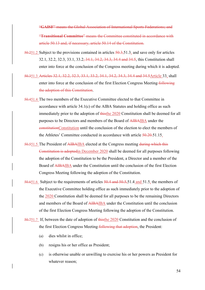"GAISF" means the Global Association of International Sports Federations; and "Transitional Committee" means the Committee constituted in accordance with article 50.13 and, if necessary, article 50.14 of the Constitution.

- 50.251.2 Subject to the provisions contained in articles 50.3,51.3, and save only for articles 32.1, 32.2, 32.3, 33.1, 33.2, 34.1, 34.2, 34.3, 34.4 and 34.5, this Constitution shall enter into force at the conclusion of the Congress meeting during which it is adopted.
- 50.351.3 Articles 32.1, 32.2, 32.3, 33.1, 33.2, 34.1, 34.2, 34.3, 34.4 and 34.5Article 33, shall enter into force at the conclusion of the first Election Congress Meeting following the adoption of this Constitution.
- 50.451.4 The two members of the Executive Committee elected to that Committee in accordance with article 34.1(c) of the AIBA Statutes and holding office as such immediately prior to the adoption of thisthe 2020 Constitution shall be deemed for all purposes to be Directors and members of the Board of AIBAIBA under the constitutionConstitution until the conclusion of the election to elect the members of the Athletes' Committee conducted in accordance with article  $50.20.51.15$ .
- 50.551.5 The President of AIBAIBA elected at the Congress meeting during which this Constitution is adoptedin December 2020 shall be deemed for all purposes following the adoption of the Constitution to be the President, a Director and a member of the Board of AIBAIBA under the Constitution until the conclusion of the first Election Congress Meeting following the adoption of the Constitution.
- 50.651.6 Subject to the requirements of articles 50.4 and 50.5,51.4 and 51.5, the members of the Executive Committee holding office as such immediately prior to the adoption of the 2020 Constitution shall be deemed for all purposes to be the remaining Directors and members of the Board of AIBAIBA under the Constitution until the conclusion of the first Election Congress Meeting following the adoption of the Constitution.
- 50.751.7 If, between the date of adoption of thisthe 2020 Constitution and the conclusion of the first Election Congress Meeting following that adoption, the President:
	- (a) dies whilst in office;
	- (b) resigns his or her office as President;
	- (c) is otherwise unable or unwilling to exercise his or her powers as President for whatever reason;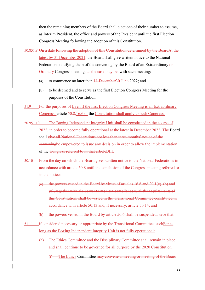then the remaining members of the Board shall elect one of their number to assume, as Interim President, the office and powers of the President until the first Election Congress Meeting following the adoption of this Constitution.

- 50.851.8 On a date following the adoption of this Constitution determined by the BoardAt the latest by 31 December 2021, the Board shall give written notice to the National Federations notifying them of the convening by the Board of an Extraordinary or Ordinary Congress meeting, as the case may be; with such meeting:
	- (a) to commence no later than  $11$  December 30 June 2022; and
	- (b) to be deemed and to serve as the first Election Congress Meeting for the purposes of the Constitution.
- 51.9 For the purposes of Even if the first Election Congress Meeting is an Extraordinary Congress, article 50.8,16.6 of the Constitution shall apply to such Congress.
- 50.951.10 The Boxing Independent Integrity Unit shall be constituted in the course of 2022, in order to become fully operational at the latest in December 2022. The Board shall give all National Federations not less than three months' notice of the conveningbe empowered to issue any decision in order to allow the implementation of the Congress referred to in that articleBIIU.
- 50.10 From the day on which the Board gives written notice to the National Federations in accordance with article 50.8 until the conclusion of the Congress meeting referred to in the notice:
	- (a) the powers vested in the Board by virtue of articles  $16.6$  and  $29.1(c)$ , (p) and (u), together with the power to monitor compliance with the requirements of this Constitution, shall be vested in the Transitional Committee constituted in accordance with article 50.13 and, if necessary, article 50.14; and
	- (b) the powers vested in the Board by article 50.6 shall be suspended; save that:
- 51.11 if considered necessary or appropriate by the Transitional Committee, suchFor as long as the Boxing Independent Integrity Unit is not fully operational:
	- (a) The Ethics Committee and the Disciplinary Committee shall remain in place and shall continue to be governed for all purpose by the 2020 Constitution.
		- (i) The Ethics Committee may convene a meeting or meeting of the Board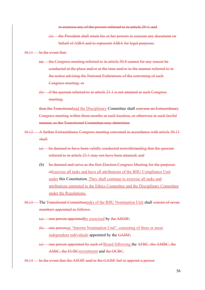to exercise any of the powers referred to in article 29.1; and

- (ii) the President shall retain his or her powers to execute any document on behalf of AIBA and to represent AIBA for legal purposes.
- 50.11 In the event that:
	- (a) the Congress meeting referred to in article 50.8 cannot for any reason be conducted at the place and/or at the time and/or in the manner referred to in the notice advising the National Federations of the convening of such Congress meeting; or
	- (b) if the quorum referred to in article 23.1 is not attained at such Congress meeting;

then the Transitionaland the Disciplinary Committee shall convene an Extraordinary Congress meeting within three months at such location, or otherwise in such lawful manner, as the Transitional Committee may determine.

- 50.12 A further Extraordinary Congress meeting convened in accordance with article 50.11 shall:
	- (a) be deemed to have been validly conducted notwithstanding that the quorum referred to in article 23.1 may not have been attained; and
	- (b) be deemed and serve as the first Election Congress Meeting for the purposes ofexercise all tasks and have all attributions of the BIIU Compliance Unit under this Constitution. They shall continue to exercise all tasks and attributions entrusted to the Ethics Committee and the Disciplinary Committee under the Regulations;
- 50.13 The Transitional Committeetasks of the BIIU Nomination Unit shall consist of seven members appointed as follows:
	- (a) one person appointedbe exercised by the ASOIF;
	- (b) one personan "Interim Nomination Unit", consisting of three or more independent individuals appointed by the GAISF;
	- (c) one person appointed by each of Board following the AFBC, the AMBC, the ASBC, the EUBCrecruitment and the OCBC.
- 50.14 In the event that the ASOIF and/or the GAISF fail to appoint a person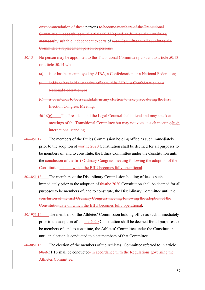orrecommendation of these persons to become members of the Transitional Committee in accordance with article 50.13(a) and/or (b), then the remaining membersby suitable independent experts of such Committee shall appoint to the Committee a replacement person or persons.

- 50.15 No person may be appointed to the Transitional Committee pursuant to article 50.13 or article 50.14 who:
	- (a) is or has been employed by AIBA, a Confederation or a National Federation;
	- (b) holds or has held any active office within AIBA, a Confederation or a National Federation; or
	- $(e)$  is or intends to be a candidate in any election to take place during the first Election Congress Meeting.
	- 50.16(c) The President and the Legal Counsel shall attend and may speak at meetings of the Transitional Committee but may not vote at such meetingshigh international standing.
- 50.1751.12 The members of the Ethics Commission holding office as such immediately prior to the adoption of thisthe 2020 Constitution shall be deemed for all purposes to be members of, and to constitute, the Ethics Committee under the Constitution until the conclusion of the first Ordinary Congress meeting following the adoption of the Constitutiondate on which the BIIU becomes fully operational.
- 50.1851.13 The members of the Disciplinary Commission holding office as such immediately prior to the adoption of thisthe 2020 Constitution shall be deemed for all purposes to be members of, and to constitute, the Disciplinary Committee until the conclusion of the first Ordinary Congress meeting following the adoption of the Constitutiondate on which the BIIU becomes fully operational.
- 50.1951.14 The members of the Athletes' Commission holding office as such immediately prior to the adoption of thisthe 2020 Constitution shall be deemed for all purposes to be members of, and to constitute, the Athletes' Committee under the Constitution until an election is conducted to elect members of that Committee.
- 50.2051.15 The election of the members of the Athletes' Committee referred to in article  $50.1951.16$  shall be conducted: in accordance with the Regulations governing the Athletes Committee.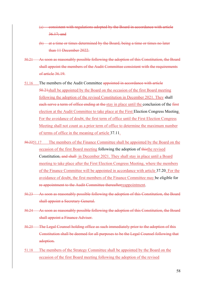- (a) consistent with regulations adopted by the Board in accordance with article 36.17; and
- (b) at a time or times determined by the Board, being a time or times no later than 11 December 2022.
- 50.21 As soon as reasonably possible following the adoption of this Constitution, the Board shall appoint the members of the Audit Committee consistent with the requirements of article 36.19.
- 51.16 The members of the Audit Committee appointed in accordance with article 50.21shall be appointed by the Board on the occasion of the first Board meeting following the adoption of the revised Constitution in December 2021. They shall each serve a term of office ending at the stay in place until the conclusion of the first election at the Audit Committee to take place at the First Election Congress Meeting. For the avoidance of doubt, the first term of office until the First Election Congress Meeting shall not count as a prior term of office to determine the maximum number of terms of office in the meaning of article 37.11.
- 50.2251.17 The members of the Finance Committee shall be appointed by the Board on the occasion of the first Board meeting following the adoption of thisthe revised Constitution, and shall in December 2021. They shall stay in place until a Board meeting to take place after the First Election Congress Meeting, where the members of the Finance Committee will be appointed in accordance with article 37.20. For the avoidance of doubt, the first members of the Finance Committee may be eligible for re-appointment to the Audit Committee thereafterreappointment.
- 50.23 As soon as reasonably possible following the adoption of this Constitution, the Board shall appoint a Secretary General.
- 50.24 As soon as reasonably possible following the adoption of this Constitution, the Board shall appoint a Finance Adviser.
- 50.25 The Legal Counsel holding office as such immediately prior to the adoption of this Constitution shall be deemed for all purposes to be the Legal Counsel following that adoption.
- 51.18 The members of the Strategy Committee shall be appointed by the Board on the occasion of the first Board meeting following the adoption of the revised